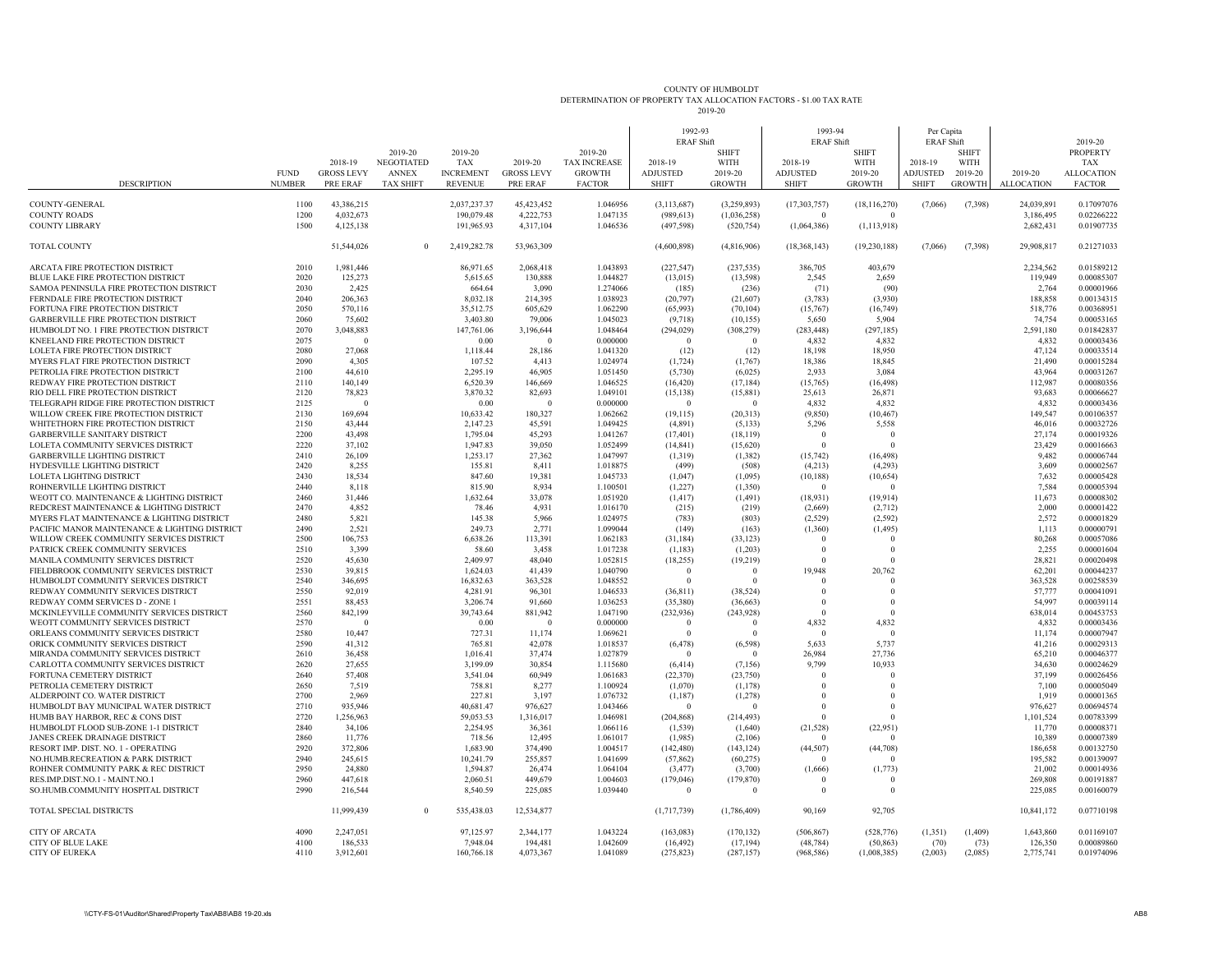| COUNTY OF HUMBOLDT                                                 |
|--------------------------------------------------------------------|
| DETERMINATION OF PROPERTY TAX ALLOCATION FACTORS - \$1.00 TAX RATE |
| 2019-20                                                            |

| <b>DESCRIPTION</b>                                                                     | <b>FUND</b><br><b>NUMBER</b> | 2018-19<br><b>GROSS LEVY</b><br>PRE ERAF | 2019-20<br><b>NEGOTIATED</b><br><b>ANNEX</b><br><b>TAX SHIFT</b> | 2019-20<br><b>TAX</b><br><b>INCREMENT</b><br><b>REVENUE</b> | 2019-20<br><b>GROSS LEVY</b><br>PRE ERAF | 2019-20<br><b>TAX INCREASE</b><br><b>GROWTH</b><br><b>FACTOR</b> | 1992-93<br><b>ERAF Shift</b><br>2018-19<br><b>ADJUSTED</b><br><b>SHIFT</b> | <b>SHIFT</b><br>WITH<br>2019-20<br><b>GROWTH</b> | 1993-94<br><b>ERAF Shift</b><br>2018-19<br><b>ADJUSTED</b><br><b>SHIFT</b> | <b>SHIFT</b><br><b>WITH</b><br>2019-20<br><b>GROWTH</b> | Per Capita<br><b>ERAF Shift</b><br>2018-19<br><b>ADJUSTED</b><br><b>SHIFT</b> | <b>SHIFT</b><br>WITH<br>2019-20<br><b>GROWTH</b> | 2019-20<br><b>ALLOCATION</b> | 2019-20<br><b>PROPERTY</b><br><b>TAX</b><br><b>ALLOCATION</b><br><b>FACTOR</b> |
|----------------------------------------------------------------------------------------|------------------------------|------------------------------------------|------------------------------------------------------------------|-------------------------------------------------------------|------------------------------------------|------------------------------------------------------------------|----------------------------------------------------------------------------|--------------------------------------------------|----------------------------------------------------------------------------|---------------------------------------------------------|-------------------------------------------------------------------------------|--------------------------------------------------|------------------------------|--------------------------------------------------------------------------------|
|                                                                                        |                              |                                          |                                                                  |                                                             |                                          |                                                                  |                                                                            |                                                  |                                                                            |                                                         |                                                                               |                                                  |                              |                                                                                |
| COUNTY-GENERAL<br><b>COUNTY ROADS</b>                                                  | 1100<br>1200                 | 43,386,215<br>4,032,673                  |                                                                  | 2,037,237.37<br>190,079.48                                  | 45, 423, 452<br>4,222,753                | 1.046956<br>1.047135                                             | (3, 113, 687)<br>(989, 613)                                                | (3,259,893)<br>(1,036,258)                       | (17,303,757)<br>$\Omega$                                                   | (18, 116, 270)                                          | (7,066)                                                                       | (7,398)                                          | 24,039,891<br>3,186,495      | 0.17097076<br>0.02266222                                                       |
| <b>COUNTY LIBRARY</b>                                                                  | 1500                         | 4,125,138                                |                                                                  | 191,965.93                                                  | 4,317,104                                | 1.046536                                                         | (497, 598)                                                                 | (520, 754)                                       | (1,064,386)                                                                | (1, 113, 918)                                           |                                                                               |                                                  | 2,682,431                    | 0.01907735                                                                     |
|                                                                                        |                              |                                          |                                                                  |                                                             |                                          |                                                                  |                                                                            |                                                  |                                                                            |                                                         |                                                                               |                                                  |                              |                                                                                |
| <b>TOTAL COUNTY</b>                                                                    |                              | 51,544,026                               |                                                                  | 2,419,282.78                                                | 53,963,309                               |                                                                  | (4,600,898)                                                                | (4,816,906)                                      | (18,368,143)                                                               | (19,230,188)                                            | (7,066)                                                                       | (7,398)                                          | 29,908,817                   | 0.21271033                                                                     |
| ARCATA FIRE PROTECTION DISTRICT                                                        | 2010                         | 1,981,446                                |                                                                  | 86,971.65                                                   | 2.068.418                                | 1.043893                                                         | (227, 547)                                                                 | (237, 535)                                       | 386,705                                                                    | 403,679                                                 |                                                                               |                                                  | 2.234.562                    | 0.01589212                                                                     |
| BLUE LAKE FIRE PROTECTION DISTRICT                                                     | 2020                         | 125,273                                  |                                                                  | 5,615.65                                                    | 130,888                                  | 1.044827                                                         | (13,015)                                                                   | (13,598)                                         | 2,545                                                                      | 2,659                                                   |                                                                               |                                                  | 119,949                      | 0.00085307                                                                     |
| SAMOA PENINSULA FIRE PROTECTION DISTRICT                                               | 2030                         | 2,425                                    |                                                                  | 664.64                                                      | 3,090                                    | 1.274066                                                         | (185)                                                                      | (236)                                            | (71)                                                                       | (90)                                                    |                                                                               |                                                  | 2,764                        | 0.00001966                                                                     |
| FERNDALE FIRE PROTECTION DISTRICT                                                      | 2040                         | 206,363                                  |                                                                  | 8.032.18                                                    | 214,395                                  | 1.038923                                                         | (20, 797)                                                                  | (21,607)                                         | (3,783)                                                                    | (3,930)                                                 |                                                                               |                                                  | 188,858                      | 0.0013431:                                                                     |
| FORTUNA FIRE PROTECTION DISTRICT                                                       | 2050                         | 570,116                                  |                                                                  | 35,512.75                                                   | 605,629                                  | 1.062290                                                         | (65,993)                                                                   | (70, 104)                                        | (15,767)                                                                   | (16,749)                                                |                                                                               |                                                  | 518,776                      | 0.00368951                                                                     |
| GARBERVILLE FIRE PROTECTION DISTRICT                                                   | 2060                         | 75,602                                   |                                                                  | 3,403.80                                                    | 79,006                                   | 1.045023                                                         | (9,718)                                                                    | (10, 155)                                        | 5,650                                                                      | 5,904                                                   |                                                                               |                                                  | 74,754                       | 0.0005316:                                                                     |
| HUMBOLDT NO. 1 FIRE PROTECTION DISTRICT                                                | 2070                         | 3,048,883                                |                                                                  | 147,761.06                                                  | 3,196,644                                | 1.048464                                                         | (294, 029)                                                                 | (308, 279)                                       | (283, 448)                                                                 | (297, 185)                                              |                                                                               |                                                  | 2,591,180                    | 0.01842837                                                                     |
| KNEELAND FIRE PROTECTION DISTRICT                                                      | 2075                         | $\Omega$                                 |                                                                  | 0.00                                                        | - C                                      | 0.000000                                                         | $\Omega$                                                                   | - 0                                              | 4,832                                                                      | 4,832                                                   |                                                                               |                                                  | 4,832                        | 0.00003436                                                                     |
| LOLETA FIRE PROTECTION DISTRICT                                                        | 2080                         | 27,068                                   |                                                                  | 1,118.44                                                    | 28,186                                   | 1.041320                                                         | (12)                                                                       | (12)                                             | 18,198                                                                     | 18,950                                                  |                                                                               |                                                  | 47,124                       | 0.00033514                                                                     |
| MYERS FLAT FIRE PROTECTION DISTRICT<br>PETROLIA FIRE PROTECTION DISTRICT               | 2090<br>2100                 | 4,305<br>44,610                          |                                                                  | 107.52<br>2.295.19                                          | 4,413<br>46,905                          | 1.024974<br>1.051450                                             | (1, 724)<br>(5,730)                                                        | (1,767)<br>(6,025)                               | 18,386<br>2.933                                                            | 18,845<br>3.084                                         |                                                                               |                                                  | 21,490<br>43,964             | 0.00015284<br>0.00031267                                                       |
| REDWAY FIRE PROTECTION DISTRICT                                                        | 2110                         | 140,149                                  |                                                                  | 6,520.39                                                    | 146,669                                  | 1.046525                                                         | (16, 420)                                                                  | (17, 184)                                        | (15,765)                                                                   | (16, 498)                                               |                                                                               |                                                  | 112,987                      | 0.00080356                                                                     |
| RIO DELL FIRE PROTECTION DISTRICT                                                      | 2120                         | 78,823                                   |                                                                  | 3,870.32                                                    | 82,693                                   | 1.049101                                                         | (15, 138)                                                                  | (15, 881)                                        | 25,613                                                                     | 26,871                                                  |                                                                               |                                                  | 93,683                       | 0.00066627                                                                     |
| TELEGRAPH RIDGE FIRE PROTECTION DISTRICT                                               | 2125                         | $\overline{0}$                           |                                                                  | 0.00                                                        | $\sqrt{ }$                               | 0.000000                                                         | $\Omega$                                                                   | -0                                               | 4,832                                                                      | 4,832                                                   |                                                                               |                                                  | 4,832                        | 0.00003436                                                                     |
| WILLOW CREEK FIRE PROTECTION DISTRICT                                                  | 2130                         | 169,694                                  |                                                                  | 10,633.42                                                   | 180,327                                  | 1.062662                                                         | (19, 115)                                                                  | (20,313)                                         | (9,850)                                                                    | (10, 467)                                               |                                                                               |                                                  | 149,547                      | 0.0010635                                                                      |
| WHITETHORN FIRE PROTECTION DISTRICT                                                    | 2150                         | 43,444                                   |                                                                  | 2,147.23                                                    | 45,591                                   | 1.049425                                                         | (4,891)                                                                    | (5, 133)                                         | 5,296                                                                      | 5,558                                                   |                                                                               |                                                  | 46,016                       | 0.00032726                                                                     |
| <b>GARBERVILLE SANITARY DISTRICT</b>                                                   | 2200                         | 43,498                                   |                                                                  | 1,795.04                                                    | 45,293                                   | 1.041267                                                         | (17, 401)                                                                  | (18, 119)                                        | $\mathbf{0}$                                                               | $\overline{0}$                                          |                                                                               |                                                  | 27,174                       | 0.00019326                                                                     |
| LOLETA COMMUNITY SERVICES DISTRICT                                                     | 2220                         | 37.102                                   |                                                                  | 1.947.83                                                    | 39,050                                   | 1.052499                                                         | (14, 841)                                                                  | (15,620)                                         | $\Omega$                                                                   | $\Omega$                                                |                                                                               |                                                  | 23.429                       | 0.00016663                                                                     |
| <b>GARBERVILLE LIGHTING DISTRICT</b>                                                   | 2410                         | 26.109                                   |                                                                  | 1.253.17                                                    | 27,362                                   | 1.047997                                                         | (1,319)                                                                    | (1,382)                                          | (15,742)                                                                   | (16, 498)                                               |                                                                               |                                                  | 9.482                        | 0.00006744                                                                     |
| HYDESVILLE LIGHTING DISTRICT                                                           | 2420                         | 8.255                                    |                                                                  | 155.81                                                      | 8,411                                    | 1.018875                                                         | (499)                                                                      | (508)                                            | (4,213)                                                                    | (4,293)                                                 |                                                                               |                                                  | 3,609                        | 0.00002567                                                                     |
| LOLETA LIGHTING DISTRICT                                                               | 2430                         | 18,534                                   |                                                                  | 847.60                                                      | 19,381                                   | 1.045733                                                         | (1,047)                                                                    | (1,095)                                          | (10, 188)                                                                  | (10,654)                                                |                                                                               |                                                  | 7,632                        | 0.00005428                                                                     |
| ROHNERVILLE LIGHTING DISTRICT                                                          | 2440                         | 8,118                                    |                                                                  | 815.90                                                      | 8,934                                    | 1.100501                                                         | (1,227)                                                                    | (1,350)                                          | $\Omega$                                                                   | $\theta$                                                |                                                                               |                                                  | 7,584                        | 0.00005394                                                                     |
| WEOTT CO. MAINTENANCE & LIGHTING DISTRICT                                              | 2460                         | 31,446                                   |                                                                  | 1,632.64                                                    | 33,078                                   | 1.051920                                                         | (1, 417)                                                                   | (1, 491)                                         | (18,931)                                                                   | (19.914)                                                |                                                                               |                                                  | 11.673                       | 0.00008302                                                                     |
| REDCREST MAINTENANCE & LIGHTING DISTRICT<br>MYERS FLAT MAINTENANCE & LIGHTING DISTRICT | 2470<br>2480                 | 4,852<br>5,821                           |                                                                  | 78.46<br>145.38                                             | 4,931<br>5,966                           | 1.016170<br>1.024975                                             | (215)<br>(783)                                                             | (219)<br>(803)                                   | (2,669)<br>(2,529)                                                         | (2,712)<br>(2,592)                                      |                                                                               |                                                  | 2.000<br>2,572               | 0.00001422<br>0.00001829                                                       |
| PACIFIC MANOR MAINTENANCE & LIGHTING DISTRICT                                          | 2490                         | 2,521                                    |                                                                  | 249.73                                                      | 2,771                                    | 1.099044                                                         | (149)                                                                      | (163)                                            | (1,360)                                                                    | (1, 495)                                                |                                                                               |                                                  | 1,113                        | 0.00000791                                                                     |
| WILLOW CREEK COMMUNITY SERVICES DISTRICT                                               | 2500                         | 106,753                                  |                                                                  | 6,638.26                                                    | 113,391                                  | 1.062183                                                         | (31, 184)                                                                  | (33, 123)                                        | $\Omega$                                                                   | $\Omega$                                                |                                                                               |                                                  | 80,268                       | 0.00057086                                                                     |
| PATRICK CREEK COMMUNITY SERVICES                                                       | 2510                         | 3,399                                    |                                                                  | 58.60                                                       | 3,458                                    | 1.017238                                                         | (1, 183)                                                                   | (1,203)                                          | $\Omega$                                                                   | $\Omega$                                                |                                                                               |                                                  | 2.255                        | 0.00001604                                                                     |
| MANILA COMMUNITY SERVICES DISTRICT                                                     | 2520                         | 45,630                                   |                                                                  | 2,409.97                                                    | 48,040                                   | 1.052815                                                         | (18, 255)                                                                  | (19,219)                                         | $\Omega$                                                                   | $\Omega$                                                |                                                                               |                                                  | 28,821                       | 0.00020498                                                                     |
| FIELDBROOK COMMUNITY SERVICES DISTRICT                                                 | 2530                         | 39,815                                   |                                                                  | 1,624.03                                                    | 41,439                                   | 1.040790                                                         | $\Omega$                                                                   | $\Omega$                                         | 19,948                                                                     | 20,762                                                  |                                                                               |                                                  | 62,201                       | 0.0004423                                                                      |
| HUMBOLDT COMMUNITY SERVICES DISTRICT                                                   | 2540                         | 346,695                                  |                                                                  | 16.832.63                                                   | 363,528                                  | 1.048552                                                         | $\Omega$                                                                   | -0                                               | $\Omega$                                                                   | $\Omega$                                                |                                                                               |                                                  | 363.528                      | 0.00258539                                                                     |
| REDWAY COMMUNITY SERVICES DISTRICT                                                     | 2550                         | 92,019                                   |                                                                  | 4,281.91                                                    | 96,301                                   | 1.046533                                                         | (36, 811)                                                                  | (38, 524)                                        | $\Omega$                                                                   | $\theta$                                                |                                                                               |                                                  | 57,777                       | 0.00041091                                                                     |
| REDWAY COMM SERVICES D - ZONE 1                                                        | 2551                         | 88,453                                   |                                                                  | 3,206.74                                                    | 91,660                                   | 1.036253                                                         | (35,380)                                                                   | (36, 663)                                        | $\mathbf{0}$                                                               | $\overline{0}$                                          |                                                                               |                                                  | 54,997                       | 0.0003911                                                                      |
| MCKINLEYVILLE COMMUNITY SERVICES DISTRICT                                              | 2560                         | 842,199                                  |                                                                  | 39,743.64                                                   | 881,942                                  | 1.047190                                                         | (232, 936)                                                                 | (243,928)                                        | $\theta$                                                                   | $\theta$                                                |                                                                               |                                                  | 638,014                      | 0.00453753                                                                     |
| WEOTT COMMUNITY SERVICES DISTRICT                                                      | 2570<br>2580                 | $\Omega$                                 |                                                                  | 0.00                                                        | $\epsilon$                               | 0.000000                                                         | $\Omega$<br>$\Omega$                                                       | -0                                               | 4,832<br>$\Omega$                                                          | 4,832<br>$\Omega$                                       |                                                                               |                                                  | 4,832                        | 0.00003436                                                                     |
| ORLEANS COMMUNITY SERVICES DISTRICT<br>ORICK COMMUNITY SERVICES DISTRICT               | 2590                         | 10,447<br>41,312                         |                                                                  | 727.31<br>765.81                                            | 11,174<br>42,078                         | 1.069621<br>1.018537                                             | (6, 478)                                                                   | (6, 598)                                         | 5,633                                                                      | 5,737                                                   |                                                                               |                                                  | 11,174<br>41,216             | 0.0000794<br>0.0002931                                                         |
| MIRANDA COMMUNITY SERVICES DISTRICT                                                    | 2610                         | 36,458                                   |                                                                  | 1,016.41                                                    | 37,474                                   | 1.027879                                                         |                                                                            |                                                  | 26,984                                                                     | 27,736                                                  |                                                                               |                                                  | 65,210                       | 0.0004637                                                                      |
| CARLOTTA COMMUNITY SERVICES DISTRICT                                                   | 2620                         | 27.655                                   |                                                                  | 3,199.09                                                    | 30,854                                   | 1.115680                                                         | (6.414)                                                                    | (7,156)                                          | 9,799                                                                      | 10.933                                                  |                                                                               |                                                  | 34.630                       | 0.00024629                                                                     |
| FORTUNA CEMETERY DISTRICT                                                              | 2640                         | 57,408                                   |                                                                  | 3,541.04                                                    | 60,949                                   | 1.061683                                                         | (22,370)                                                                   | (23,750)                                         | $\Omega$                                                                   | $\Omega$                                                |                                                                               |                                                  | 37,199                       | 0.00026456                                                                     |
| PETROLIA CEMETERY DISTRICT                                                             | 2650                         | 7,519                                    |                                                                  | 758.81                                                      | 8,277                                    | 1.100924                                                         | (1,070)                                                                    | (1,178)                                          | $^{0}$                                                                     | $\Omega$                                                |                                                                               |                                                  | 7,100                        | 0.00005049                                                                     |
| ALDERPOINT CO. WATER DISTRICT                                                          | 2700                         | 2,969                                    |                                                                  | 227.81                                                      | 3,197                                    | 1.076732                                                         | (1,187)                                                                    | (1,278)                                          | $\theta$                                                                   | $\theta$                                                |                                                                               |                                                  | 1,919                        | 0.00001365                                                                     |
| HUMBOLDT BAY MUNICIPAL WATER DISTRICT                                                  | 2710                         | 935,946                                  |                                                                  | 40,681.47                                                   | 976,627                                  | 1.043466                                                         | $\Omega$                                                                   |                                                  | $\theta$                                                                   | $\theta$                                                |                                                                               |                                                  | 976,627                      | 0.00694574                                                                     |
| HUMB BAY HARBOR, REC & CONS DIST                                                       | 2720                         | 1,256,963                                |                                                                  | 59,053.53                                                   | 1,316,017                                | 1.046981                                                         | (204, 868)                                                                 | (214, 493)                                       | $\Omega$                                                                   | $\Omega$                                                |                                                                               |                                                  | 1,101,524                    | 0.00783399                                                                     |
| HUMBOLDT FLOOD SUB-ZONE 1-1 DISTRICT                                                   | 2840                         | 34,106                                   |                                                                  | 2,254.95                                                    | 36,361                                   | 1.066116                                                         | (1, 539)                                                                   | (1,640)                                          | (21, 528)                                                                  | (22,951)                                                |                                                                               |                                                  | 11,770                       | 0.0000837                                                                      |
| JANES CREEK DRAINAGE DISTRICT                                                          | 2860                         | 11,776                                   |                                                                  | 718.56                                                      | 12,495                                   | 1.061017                                                         | (1,985)                                                                    | (2,106)                                          | $\Omega$                                                                   | $\Omega$                                                |                                                                               |                                                  | 10,389                       | 0.00007389                                                                     |
| RESORT IMP. DIST. NO. 1 - OPERATING                                                    | 2920                         | 372,806                                  |                                                                  | 1,683.90                                                    | 374,490                                  | 1.004517                                                         | (142, 480)                                                                 | (143, 124)                                       | (44,507)                                                                   | (44,708)                                                |                                                                               |                                                  | 186,658                      | 0.00132750                                                                     |
| NO.HUMB.RECREATION & PARK DISTRICT<br>ROHNER COMMUNITY PARK & REC DISTRICT             | 2940<br>2950                 | 245,615                                  |                                                                  | 10,241.79<br>1,594.87                                       | 255,857<br>26,474                        | 1.041699                                                         | (57, 862)<br>(3, 477)                                                      | (60, 275)<br>(3,700)                             | $\Omega$                                                                   | $\Omega$<br>(1,773)                                     |                                                                               |                                                  | 195,582<br>21,002            | 0.00139097<br>0.00014936                                                       |
| RES.IMP.DIST.NO.1 - MAINT.NO.1                                                         | 2960                         | 24,880<br>447,618                        |                                                                  | 2,060.51                                                    | 449,679                                  | 1.064104<br>1.004603                                             | (179,046)                                                                  | (179, 870)                                       | (1,666)<br>$\Omega$                                                        | $\Omega$                                                |                                                                               |                                                  | 269,808                      | 0.00191887                                                                     |
| SO.HUMB.COMMUNITY HOSPITAL DISTRICT                                                    | 2990                         | 216,544                                  |                                                                  | 8,540.59                                                    | 225,085                                  | 1.039440                                                         | $\theta$                                                                   | $\Omega$                                         | $\Omega$                                                                   | $\Omega$                                                |                                                                               |                                                  | 225,085                      | 0.00160079                                                                     |
| TOTAL SPECIAL DISTRICTS                                                                |                              | 11,999,439                               | $\theta$                                                         | 535,438.03                                                  | 12,534,877                               |                                                                  | (1,717,739)                                                                | (1,786,409)                                      | 90,169                                                                     | 92,705                                                  |                                                                               |                                                  | 10,841,172                   | 0.07710198                                                                     |
|                                                                                        |                              |                                          |                                                                  |                                                             |                                          |                                                                  |                                                                            |                                                  |                                                                            |                                                         |                                                                               |                                                  |                              |                                                                                |
| <b>CITY OF ARCATA</b>                                                                  | 4090                         | 2,247,051                                |                                                                  | 97,125.97                                                   | 2,344,177                                | 1.043224                                                         | (163,083)                                                                  | (170, 132)                                       | (506, 867)                                                                 | (528, 776)                                              | (1, 351)                                                                      | (1, 409)                                         | 1,643,860                    | 0.01169107                                                                     |
| <b>CITY OF BLUE LAKE</b><br><b>CITY OF EUREKA</b>                                      | 4100<br>4110                 | 186,533<br>3,912,601                     |                                                                  | 7,948.04<br>160,766.18                                      | 194,481<br>4.073.367                     | 1.042609<br>1.041089                                             | (16, 492)<br>(275, 823)                                                    | (17, 194)<br>(287, 157)                          | (48, 784)<br>(968, 586)                                                    | (50, 863)<br>(1,008,385)                                | (70)<br>(2,003)                                                               | (73)<br>(2,085)                                  | 126,350<br>2,775,741         | 0.00089860<br>0.01974096                                                       |
|                                                                                        |                              |                                          |                                                                  |                                                             |                                          |                                                                  |                                                                            |                                                  |                                                                            |                                                         |                                                                               |                                                  |                              |                                                                                |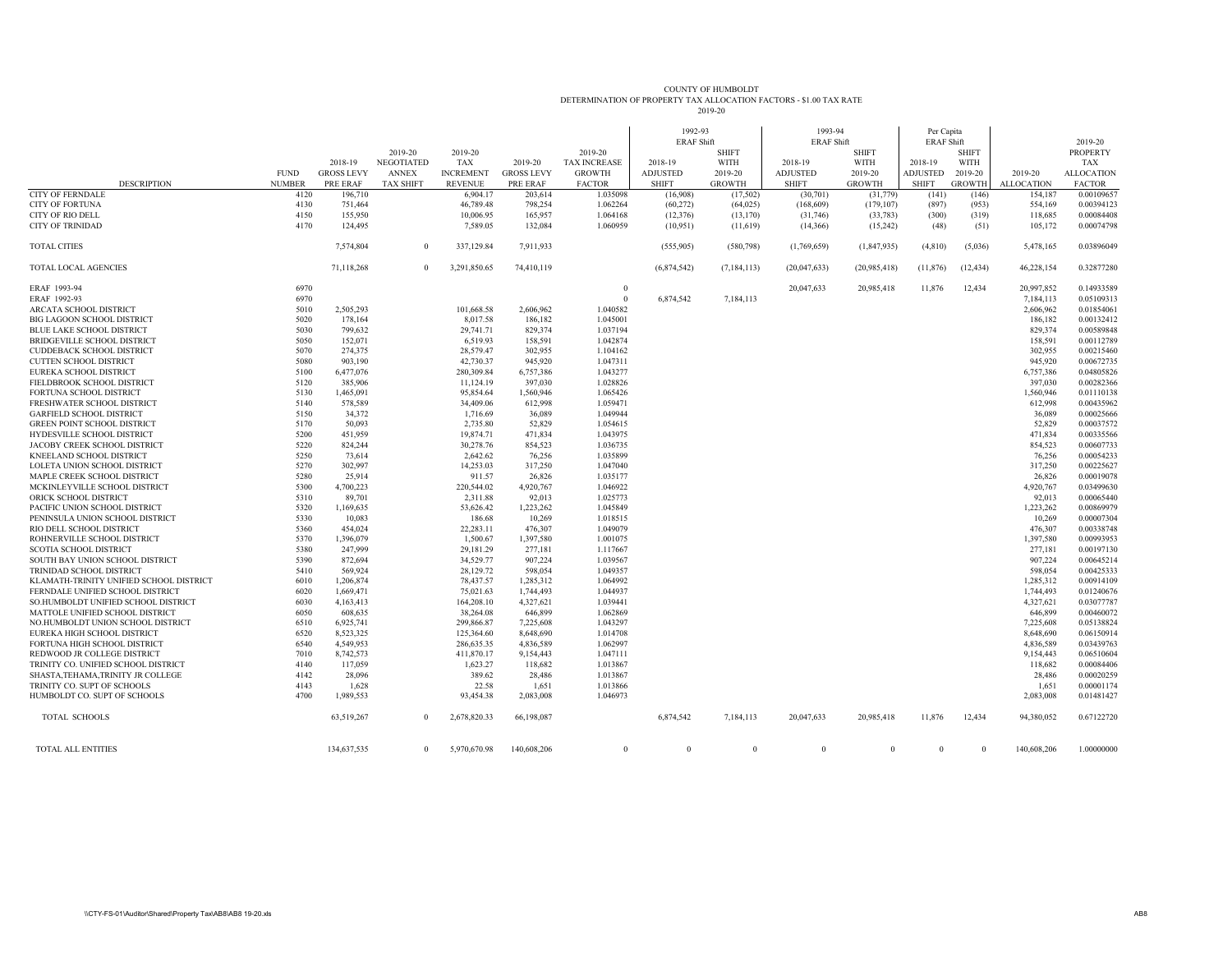## COUNTY OF HUMBOLDTDETERMINATION OF PROPERTY TAX ALLOCATION FACTORS - \$1.00 TAX RATE 2019-20

|                                         |               |                   | 2019-20           | 2019-20          |                   | 2019-20             | 1992-93<br><b>ERAF Shift</b> | <b>SHIFT</b>  | 1993-94<br><b>ERAF Shift</b> | <b>SHIFT</b>  | Per Capita<br><b>ERAF Shift</b> | <b>SHIFT</b>  |                   | 2019-20<br><b>PROPERTY</b> |
|-----------------------------------------|---------------|-------------------|-------------------|------------------|-------------------|---------------------|------------------------------|---------------|------------------------------|---------------|---------------------------------|---------------|-------------------|----------------------------|
|                                         |               | 2018-19           | <b>NEGOTIATED</b> | TAX              | 2019-20           | <b>TAX INCREASE</b> | 2018-19                      | <b>WITH</b>   | 2018-19                      | WITH          | 2018-19                         | <b>WITH</b>   |                   | TAX                        |
|                                         | <b>FUND</b>   | <b>GROSS LEVY</b> | <b>ANNEX</b>      | <b>INCREMENT</b> | <b>GROSS LEVY</b> | <b>GROWTH</b>       | <b>ADJUSTED</b>              | 2019-20       | <b>ADJUSTED</b>              | 2019-20       | <b>ADJUSTED</b>                 | 2019-20       | 2019-20           | <b>ALLOCATION</b>          |
| <b>DESCRIPTION</b>                      | <b>NUMBER</b> | PRE ERAF          | <b>TAX SHIFT</b>  | <b>REVENUE</b>   | PRE ERAF          | <b>FACTOR</b>       | <b>SHIFT</b>                 | <b>GROWTH</b> | <b>SHIFT</b>                 | <b>GROWTH</b> | <b>SHIFT</b>                    | <b>GROWTH</b> | <b>ALLOCATION</b> | <b>FACTOR</b>              |
| <b>CITY OF FERNDALE</b>                 | 4120          | 196,710           |                   | 6,904.17         | 203,614           | 1.035098            | (16,908)                     | (17, 502)     | (30,701)                     | (31,779)      | (141)                           | (146)         | 154,187           | 0.00109657                 |
| <b>CITY OF FORTUNA</b>                  | 4130          | 751,464           |                   | 46,789.48        | 798.254           | 1.062264            | (60, 272)                    | (64, 025)     | (168,609)                    | (179, 107)    | (897)                           | (953)         | 554,169           | 0.00394123                 |
| <b>CITY OF RIO DELL</b>                 | 4150          | 155,950           |                   | 10,006.95        | 165,957           | 1.064168            | (12, 376)                    | (13, 170)     | (31,746)                     | (33, 783)     | (300)                           | (319)         | 118,685           | 0.00084408                 |
| <b>CITY OF TRINIDAD</b>                 | 4170          | 124,495           |                   | 7,589.05         | 132,084           | 1.060959            | (10, 951)                    | (11,619)      | (14,366)                     | (15,242)      | (48)                            | (51)          | 105,172           | 0.00074798                 |
| <b>TOTAL CITIES</b>                     |               | 7,574,804         | $\theta$          | 337,129.84       | 7,911,933         |                     | (555,905)                    | (580, 798)    | (1,769,659)                  | (1,847,935)   | (4,810)                         | (5,036)       | 5,478,165         | 0.03896049                 |
| <b>TOTAL LOCAL AGENCIES</b>             |               | 71,118,268        | $\theta$          | 3,291,850.65     | 74,410,119        |                     | (6,874,542)                  | (7, 184, 113) | (20,047,633)                 | (20.985, 418) | (11, 876)                       | (12, 434)     | 46,228,154        | 0.32877280                 |
| ERAF 1993-94                            | 6970          |                   |                   |                  |                   | $^{\circ}$          |                              |               | 20,047,633                   | 20,985,418    | 11,876                          | 12,434        | 20.997.852        | 0.14933589                 |
| ERAF 1992-93                            | 6970          |                   |                   |                  |                   | $\Omega$            | 6,874,542                    | 7,184,113     |                              |               |                                 |               | 7,184,113         | 0.05109313                 |
| <b>ARCATA SCHOOL DISTRICT</b>           | 5010          | 2,505,293         |                   | 101,668.58       | 2,606,962         | 1.040582            |                              |               |                              |               |                                 |               | 2,606,962         | 0.01854061                 |
| <b>BIG LAGOON SCHOOL DISTRICT</b>       | 5020          | 178,164           |                   | 8,017.58         | 186,182           | 1.045001            |                              |               |                              |               |                                 |               | 186,182           | 0.00132412                 |
| <b>BLUE LAKE SCHOOL DISTRICT</b>        | 5030          | 799,632           |                   | 29,741.71        | 829,374           | 1.037194            |                              |               |                              |               |                                 |               | 829,374           | 0.00589848                 |
| <b>BRIDGEVILLE SCHOOL DISTRICT</b>      | 5050          | 152,071           |                   | 6,519.93         | 158,591           | 1.042874            |                              |               |                              |               |                                 |               | 158,591           | 0.00112789                 |
| <b>CUDDEBACK SCHOOL DISTRICT</b>        | 5070          | 274,375           |                   | 28,579.47        | 302,955           | 1.104162            |                              |               |                              |               |                                 |               | 302,955           | 0.00215460                 |
| <b>CUTTEN SCHOOL DISTRICT</b>           | 5080          | 903,190           |                   | 42,730.37        | 945,920           | 1.047311            |                              |               |                              |               |                                 |               | 945,920           | 0.00672735                 |
| EUREKA SCHOOL DISTRICT                  | 5100          | 6,477,076         |                   | 280,309.84       | 6,757,386         | 1.043277            |                              |               |                              |               |                                 |               | 6,757,386         | 0.04805826                 |
| FIELDBROOK SCHOOL DISTRICT              | 5120          | 385,906           |                   | 11,124.19        | 397,030           | 1.028826            |                              |               |                              |               |                                 |               | 397,030           | 0.00282366                 |
| FORTUNA SCHOOL DISTRICT                 | 5130          | 1,465,091         |                   | 95,854.64        | 1,560,946         | 1.065426            |                              |               |                              |               |                                 |               | 1,560,946         | 0.01110138                 |
| FRESHWATER SCHOOL DISTRICT              | 5140          | 578,589           |                   | 34,409.06        | 612,998           | 1.059471            |                              |               |                              |               |                                 |               | 612,998           | 0.00435962                 |
| <b>GARFIELD SCHOOL DISTRICT</b>         | 5150          | 34,372            |                   | 1,716.69         | 36,089            | 1.049944            |                              |               |                              |               |                                 |               | 36,089            | 0.00025666                 |
| <b>GREEN POINT SCHOOL DISTRICT</b>      | 5170          | 50,093            |                   | 2.735.80         | 52,829            | 1.054615            |                              |               |                              |               |                                 |               | 52,829            | 0.00037572                 |
| <b>HYDESVILLE SCHOOL DISTRICT</b>       | 5200          | 451,959           |                   | 19,874.71        | 471,834           | 1.043975            |                              |               |                              |               |                                 |               | 471,834           | 0.00335566                 |
| JACOBY CREEK SCHOOL DISTRICT            | 5220          | 824,244           |                   | 30,278.76        | 854,523           | 1.036735            |                              |               |                              |               |                                 |               | 854,523           | 0.00607733                 |
| KNEELAND SCHOOL DISTRICT                | 5250          | 73,614            |                   | 2,642.62         | 76,256            | 1.035899            |                              |               |                              |               |                                 |               | 76,256            | 0.00054233                 |
| LOLETA UNION SCHOOL DISTRICT            | 5270          | 302,997           |                   | 14.253.03        | 317,250           | 1.047040            |                              |               |                              |               |                                 |               | 317,250           | 0.00225627                 |
| MAPLE CREEK SCHOOL DISTRICT             | 5280          | 25,914            |                   | 911.57           | 26,826            | 1.035177            |                              |               |                              |               |                                 |               | 26,826            | 0.00019078                 |
| MCKINLEYVILLE SCHOOL DISTRICT           | 5300          | 4,700,223         |                   | 220,544.02       | 4,920,767         | 1.046922            |                              |               |                              |               |                                 |               | 4,920,767         | 0.03499630                 |
| ORICK SCHOOL DISTRICT                   | 5310          | 89,701            |                   | 2,311.88         | 92,013            | 1.025773            |                              |               |                              |               |                                 |               | 92,013            | 0.00065440                 |
| PACIFIC UNION SCHOOL DISTRICT           | 5320          | 1,169,635         |                   | 53,626.42        | 1,223,262         | 1.045849            |                              |               |                              |               |                                 |               | 1,223,262         | 0.00869979                 |
| PENINSULA UNION SCHOOL DISTRICT         | 5330          | 10,083            |                   | 186.68           | 10,269            | 1.018515            |                              |               |                              |               |                                 |               | 10,269            | 0.00007304                 |
| RIO DELL SCHOOL DISTRICT                | 5360          | 454,024           |                   | 22,283.11        | 476,307           | 1.049079            |                              |               |                              |               |                                 |               | 476,307           | 0.00338748                 |
| ROHNERVILLE SCHOOL DISTRICT             | 5370          | 1,396,079         |                   | 1,500.67         | 1,397,580         | 1.001075            |                              |               |                              |               |                                 |               | 1,397,580         | 0.00993953                 |
| <b>SCOTIA SCHOOL DISTRICT</b>           | 5380          | 247,999           |                   | 29,181.29        | 277,181           | 1.117667            |                              |               |                              |               |                                 |               | 277,181           | 0.00197130                 |
| SOUTH BAY UNION SCHOOL DISTRICT         | 5390          | 872,694           |                   | 34,529.77        | 907,224           | 1.039567            |                              |               |                              |               |                                 |               | 907,224           | 0.00645214                 |
| TRINIDAD SCHOOL DISTRICT                | 5410          | 569,924           |                   | 28,129.72        | 598,054           | 1.049357            |                              |               |                              |               |                                 |               | 598,054           | 0.00425333                 |
| KLAMATH-TRINITY UNIFIED SCHOOL DISTRICT | 6010          | 1,206,874         |                   | 78,437.57        | 1.285.312         | 1.064992            |                              |               |                              |               |                                 |               | 1,285,312         | 0.00914109                 |
|                                         |               |                   |                   |                  |                   |                     |                              |               |                              |               |                                 |               |                   |                            |
| FERNDALE UNIFIED SCHOOL DISTRICT        | 6020          | 1,669,471         |                   | 75,021.63        | 1,744,493         | 1.044937            |                              |               |                              |               |                                 |               | 1,744,493         | 0.01240676                 |
| SO.HUMBOLDT UNIFIED SCHOOL DISTRICT     | 6030          | 4,163,413         |                   | 164,208.10       | 4,327,621         | 1.039441            |                              |               |                              |               |                                 |               | 4,327,621         | 0.03077787                 |
| MATTOLE UNIFIED SCHOOL DISTRICT         | 6050          | 608,635           |                   | 38,264.08        | 646,899           | 1.062869            |                              |               |                              |               |                                 |               | 646,899           | 0.00460072                 |
| NO.HUMBOLDT UNION SCHOOL DISTRICT       | 6510          | 6,925,741         |                   | 299,866.87       | 7,225,608         | 1.043297            |                              |               |                              |               |                                 |               | 7,225,608         | 0.05138824                 |
| EUREKA HIGH SCHOOL DISTRICT             | 6520          | 8.523.325         |                   | 125,364.60       | 8,648,690         | 1.014708            |                              |               |                              |               |                                 |               | 8,648,690         | 0.06150914                 |
| FORTUNA HIGH SCHOOL DISTRICT            | 6540          | 4,549,953         |                   | 286,635.35       | 4,836,589         | 1.062997            |                              |               |                              |               |                                 |               | 4,836,589         | 0.03439763                 |
| REDWOOD JR COLLEGE DISTRICT             | 7010          | 8,742,573         |                   | 411,870.17       | 9,154,443         | 1.047111            |                              |               |                              |               |                                 |               | 9,154,443         | 0.06510604                 |
| TRINITY CO. UNIFIED SCHOOL DISTRICT     | 4140          | 117,059           |                   | 1,623.27         | 118,682           | 1.013867            |                              |               |                              |               |                                 |               | 118,682           | 0.00084406                 |
| SHASTA, TEHAMA, TRINITY JR COLLEGE      | 4142          | 28,096            |                   | 389.62           | 28,486            | 1.013867            |                              |               |                              |               |                                 |               | 28,486            | 0.00020259                 |
| TRINITY CO. SUPT OF SCHOOLS             | 4143          | 1,628             |                   | 22.58            | 1,651             | 1.013866            |                              |               |                              |               |                                 |               | 1,651             | 0.00001174                 |
| HUMBOLDT CO. SUPT OF SCHOOLS            | 4700          | 1,989,553         |                   | 93,454.38        | 2,083,008         | 1.046973            |                              |               |                              |               |                                 |               | 2,083,008         | 0.01481427                 |
| <b>TOTAL SCHOOLS</b>                    |               | 63,519,267        | $\Omega$          | 2,678,820.33     | 66,198,087        |                     | 6,874,542                    | 7,184,113     | 20,047,633                   | 20,985,418    | 11,876                          | 12,434        | 94,380,052        | 0.67122720                 |
| TOTAL ALL ENTITIES                      |               | 134,637,535       | $\Omega$          | 5,970,670.98     | 140,608,206       | $\Omega$            | $\theta$                     | $\theta$      | $\theta$                     | $\Omega$      | $\theta$                        | $\Omega$      | 140,608,206       | 1.00000000                 |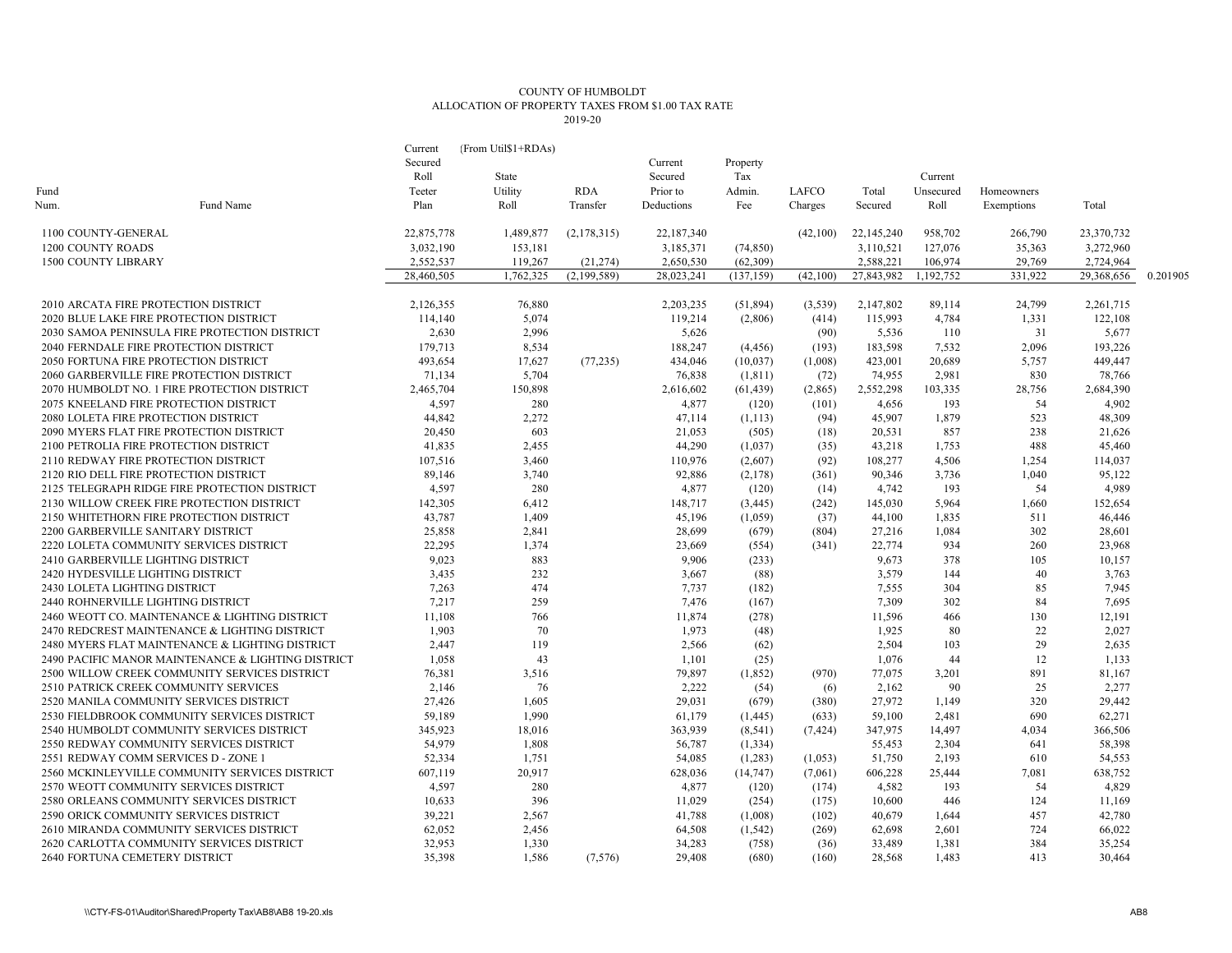## COUNTY OF HUMBOLDT ALLOCATION OF PROPERTY TAXES FROM \$1.00 TAX RATE 2019-20

|                                           |                                                    | Current    | (From Util\$1+RDAs) |             |            |            |          |            |           |            |            |          |
|-------------------------------------------|----------------------------------------------------|------------|---------------------|-------------|------------|------------|----------|------------|-----------|------------|------------|----------|
|                                           |                                                    | Secured    |                     |             | Current    | Property   |          |            |           |            |            |          |
|                                           |                                                    | Roll       | State               |             | Secured    | Tax        |          |            | Current   |            |            |          |
| Fund                                      |                                                    | Teeter     | Utility             | <b>RDA</b>  | Prior to   | Admin.     | LAFCO    | Total      | Unsecured | Homeowners |            |          |
| Num.                                      | Fund Name                                          | Plan       | Roll                | Transfer    | Deductions | Fee        | Charges  | Secured    | Roll      | Exemptions | Total      |          |
| 1100 COUNTY-GENERAL                       |                                                    | 22,875,778 | 1,489,877           | (2,178,315) | 22,187,340 |            | (42,100) | 22,145,240 | 958,702   | 266,790    | 23,370,732 |          |
| 1200 COUNTY ROADS                         |                                                    | 3,032,190  | 153,181             |             | 3,185,371  | (74, 850)  |          | 3,110,521  | 127,076   | 35,363     | 3,272,960  |          |
| 1500 COUNTY LIBRARY                       |                                                    | 2,552,537  | 119,267             | (21, 274)   | 2,650,530  | (62, 309)  |          | 2,588,221  | 106,974   | 29,769     | 2,724,964  |          |
|                                           |                                                    | 28,460,505 | 1,762,325           | (2,199,589) | 28,023,241 | (137, 159) | (42,100) | 27,843,982 | 1,192,752 | 331,922    | 29,368,656 | 0.201905 |
| 2010 ARCATA FIRE PROTECTION DISTRICT      |                                                    | 2,126,355  | 76,880              |             | 2,203,235  | (51, 894)  | (3,539)  | 2,147,802  | 89,114    | 24,799     | 2,261,715  |          |
| 2020 BLUE LAKE FIRE PROTECTION DISTRICT   |                                                    | 114,140    | 5,074               |             | 119,214    | (2,806)    | (414)    | 115,993    | 4,784     | 1,331      | 122,108    |          |
|                                           | 2030 SAMOA PENINSULA FIRE PROTECTION DISTRICT      | 2,630      | 2,996               |             | 5,626      |            | (90)     | 5,536      | 110       | 31         | 5,677      |          |
| 2040 FERNDALE FIRE PROTECTION DISTRICT    |                                                    | 179,713    | 8,534               |             | 188,247    | (4, 456)   | (193)    | 183,598    | 7,532     | 2,096      | 193,226    |          |
| 2050 FORTUNA FIRE PROTECTION DISTRICT     |                                                    | 493,654    | 17,627              | (77, 235)   | 434,046    | (10,037)   | (1,008)  | 423,001    | 20,689    | 5,757      | 449,447    |          |
| 2060 GARBERVILLE FIRE PROTECTION DISTRICT |                                                    | 71,134     | 5,704               |             | 76,838     | (1,811)    | (72)     | 74,955     | 2,981     | 830        | 78,766     |          |
|                                           | 2070 HUMBOLDT NO. 1 FIRE PROTECTION DISTRICT       | 2,465,704  | 150,898             |             | 2,616,602  | (61, 439)  | (2,865)  | 2,552,298  | 103,335   | 28,756     | 2,684,390  |          |
| 2075 KNEELAND FIRE PROTECTION DISTRICT    |                                                    | 4,597      | 280                 |             | 4,877      | (120)      | (101)    | 4,656      | 193       | 54         | 4,902      |          |
| 2080 LOLETA FIRE PROTECTION DISTRICT      |                                                    | 44,842     | 2,272               |             | 47.114     | (1, 113)   | (94)     | 45,907     | 1.879     | 523        | 48,309     |          |
| 2090 MYERS FLAT FIRE PROTECTION DISTRICT  |                                                    | 20,450     | 603                 |             | 21,053     | (505)      | (18)     | 20,531     | 857       | 238        | 21,626     |          |
| 2100 PETROLIA FIRE PROTECTION DISTRICT    |                                                    | 41,835     | 2,455               |             | 44,290     | (1,037)    | (35)     | 43,218     | 1,753     | 488        | 45,460     |          |
| 2110 REDWAY FIRE PROTECTION DISTRICT      |                                                    | 107,516    | 3,460               |             | 110,976    | (2,607)    | (92)     | 108,277    | 4,506     | 1,254      | 114,037    |          |
| 2120 RIO DELL FIRE PROTECTION DISTRICT    |                                                    | 89,146     | 3,740               |             | 92,886     | (2,178)    | (361)    | 90,346     | 3,736     | 1.040      | 95,122     |          |
|                                           | 2125 TELEGRAPH RIDGE FIRE PROTECTION DISTRICT      | 4,597      | 280                 |             | 4,877      | (120)      | (14)     | 4,742      | 193       | 54         | 4,989      |          |
|                                           | 2130 WILLOW CREEK FIRE PROTECTION DISTRICT         | 142,305    | 6.412               |             | 148,717    | (3,445)    | (242)    | 145,030    | 5,964     | 1.660      | 152,654    |          |
| 2150 WHITETHORN FIRE PROTECTION DISTRICT  |                                                    | 43,787     | 1,409               |             | 45,196     | (1,059)    | (37)     | 44,100     | 1,835     | 511        | 46,446     |          |
| 2200 GARBERVILLE SANITARY DISTRICT        |                                                    | 25,858     | 2,841               |             | 28,699     | (679)      | (804)    | 27,216     | 1,084     | 302        | 28,601     |          |
| 2220 LOLETA COMMUNITY SERVICES DISTRICT   |                                                    | 22,295     | 1,374               |             | 23,669     | (554)      | (341)    | 22,774     | 934       | 260        | 23,968     |          |
| 2410 GARBERVILLE LIGHTING DISTRICT        |                                                    | 9,023      | 883                 |             | 9,906      | (233)      |          | 9,673      | 378       | 105        | 10,157     |          |
| 2420 HYDESVILLE LIGHTING DISTRICT         |                                                    | 3,435      | 232                 |             | 3,667      | (88)       |          | 3,579      | 144       | 40         | 3,763      |          |
| 2430 LOLETA LIGHTING DISTRICT             |                                                    | 7,263      | 474                 |             | 7.737      | (182)      |          | 7,555      | 304       | 85         | 7,945      |          |
| 2440 ROHNERVILLE LIGHTING DISTRICT        |                                                    | 7,217      | 259                 |             | 7,476      | (167)      |          | 7,309      | 302       | 84         | 7,695      |          |
|                                           | 2460 WEOTT CO. MAINTENANCE & LIGHTING DISTRICT     | 11,108     | 766                 |             | 11,874     | (278)      |          | 11,596     | 466       | 130        | 12,191     |          |
|                                           | 2470 REDCREST MAINTENANCE & LIGHTING DISTRICT      | 1,903      | 70                  |             | 1,973      | (48)       |          | 1,925      | 80        | 22         | 2,027      |          |
|                                           | 2480 MYERS FLAT MAINTENANCE & LIGHTING DISTRICT    | 2,447      | 119                 |             | 2,566      | (62)       |          | 2,504      | 103       | 29         | 2,635      |          |
|                                           | 2490 PACIFIC MANOR MAINTENANCE & LIGHTING DISTRICT | 1,058      | 43                  |             | 1,101      | (25)       |          | 1,076      | 44        | 12         | 1,133      |          |
|                                           | 2500 WILLOW CREEK COMMUNITY SERVICES DISTRICT      | 76,381     | 3,516               |             | 79,897     | (1,852)    | (970)    | 77,075     | 3,201     | 891        | 81,167     |          |
| 2510 PATRICK CREEK COMMUNITY SERVICES     |                                                    | 2,146      | 76                  |             | 2,222      | (54)       | (6)      | 2,162      | 90        | 25         | 2,277      |          |
| 2520 MANILA COMMUNITY SERVICES DISTRICT   |                                                    | 27,426     | 1,605               |             | 29,031     | (679)      | (380)    | 27,972     | 1,149     | 320        | 29,442     |          |
|                                           | 2530 FIELDBROOK COMMUNITY SERVICES DISTRICT        | 59,189     | 1,990               |             | 61,179     | (1, 445)   | (633)    | 59,100     | 2,481     | 690        | 62,271     |          |
|                                           | 2540 HUMBOLDT COMMUNITY SERVICES DISTRICT          | 345,923    | 18,016              |             | 363,939    | (8, 541)   | (7, 424) | 347,975    | 14,497    | 4,034      | 366,506    |          |
| 2550 REDWAY COMMUNITY SERVICES DISTRICT   |                                                    | 54,979     | 1,808               |             | 56,787     | (1, 334)   |          | 55,453     | 2,304     | 641        | 58,398     |          |
| 2551 REDWAY COMM SERVICES D - ZONE 1      |                                                    | 52,334     | 1,751               |             | 54,085     | (1,283)    | (1,053)  | 51,750     | 2,193     | 610        | 54,553     |          |
|                                           | 2560 MCKINLEYVILLE COMMUNITY SERVICES DISTRICT     | 607,119    | 20,917              |             | 628,036    | (14, 747)  | (7,061)  | 606,228    | 25,444    | 7,081      | 638,752    |          |
| 2570 WEOTT COMMUNITY SERVICES DISTRICT    |                                                    | 4,597      | 280                 |             | 4,877      | (120)      | (174)    | 4,582      | 193       | 54         | 4,829      |          |
|                                           | 2580 ORLEANS COMMUNITY SERVICES DISTRICT           | 10,633     | 396                 |             | 11,029     | (254)      | (175)    | 10,600     | 446       | 124        | 11,169     |          |
| 2590 ORICK COMMUNITY SERVICES DISTRICT    |                                                    | 39,221     | 2,567               |             | 41,788     | (1,008)    | (102)    | 40,679     | 1,644     | 457        | 42,780     |          |
|                                           | 2610 MIRANDA COMMUNITY SERVICES DISTRICT           | 62,052     | 2,456               |             | 64,508     | (1, 542)   | (269)    | 62,698     | 2,601     | 724        | 66,022     |          |
|                                           | 2620 CARLOTTA COMMUNITY SERVICES DISTRICT          | 32,953     | 1,330               |             | 34,283     | (758)      | (36)     | 33,489     | 1,381     | 384        | 35,254     |          |
| 2640 FORTUNA CEMETERY DISTRICT            |                                                    | 35,398     | 1,586               | (7,576)     | 29,408     | (680)      | (160)    | 28,568     | 1.483     | 413        | 30,464     |          |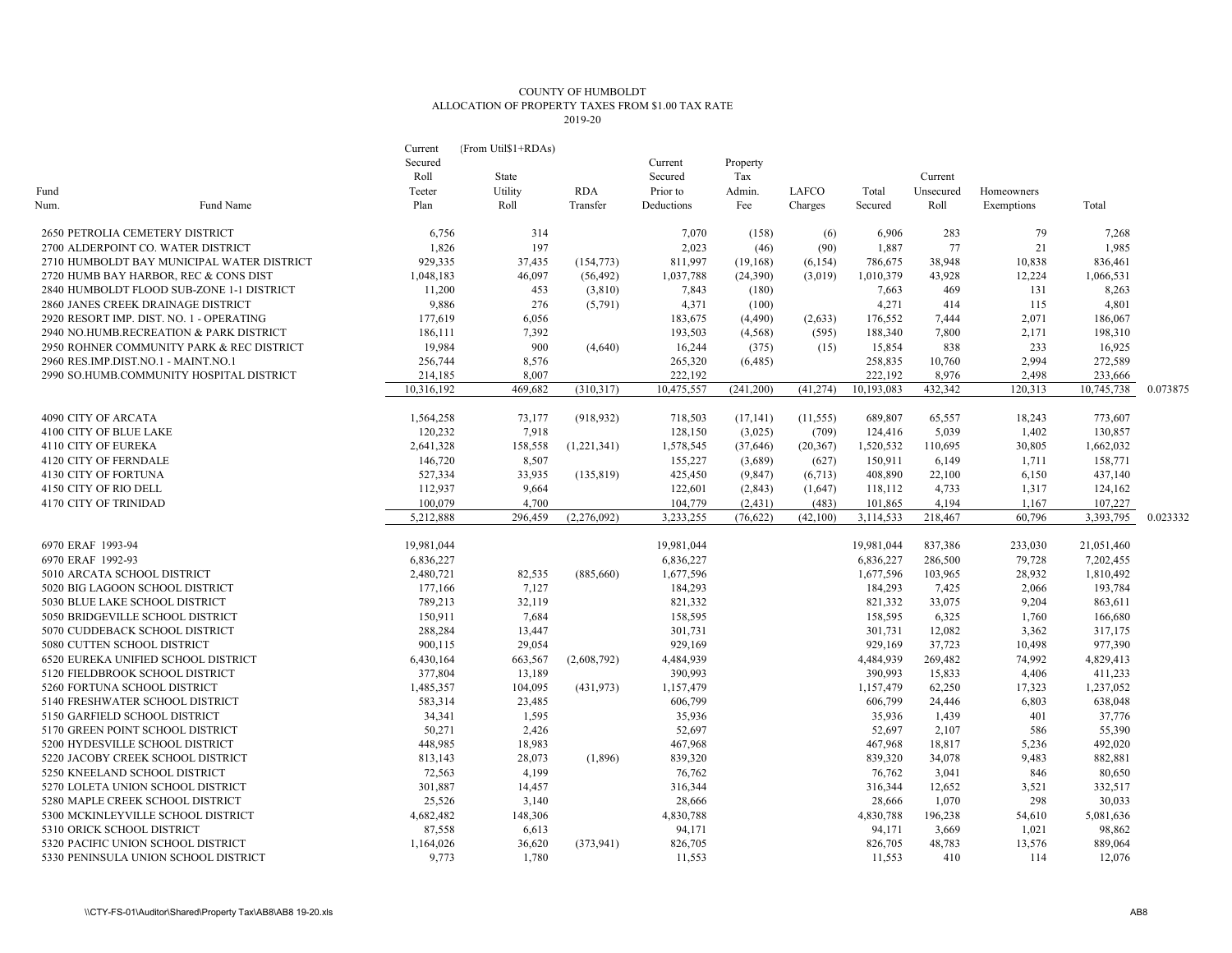## COUNTY OF HUMBOLDT ALLOCATION OF PROPERTY TAXES FROM \$1.00 TAX RATE 2019-20

|                                     |                                            | Current    | (From Util\$1+RDAs) |             |            |            |           |            |           |            |            |          |
|-------------------------------------|--------------------------------------------|------------|---------------------|-------------|------------|------------|-----------|------------|-----------|------------|------------|----------|
|                                     |                                            | Secured    |                     |             | Current    | Property   |           |            |           |            |            |          |
|                                     |                                            | Roll       | State               |             | Secured    | Tax        |           |            | Current   |            |            |          |
| Fund                                |                                            | Teeter     | Utility             | <b>RDA</b>  | Prior to   | Admin.     | LAFCO     | Total      | Unsecured | Homeowners |            |          |
| Num.                                | Fund Name                                  | Plan       | Roll                | Transfer    | Deductions | Fee        | Charges   | Secured    | Roll      | Exemptions | Total      |          |
| 2650 PETROLIA CEMETERY DISTRICT     |                                            | 6,756      | 314                 |             | 7,070      | (158)      | (6)       | 6,906      | 283       | 79         | 7,268      |          |
| 2700 ALDERPOINT CO. WATER DISTRICT  |                                            | 1,826      | 197                 |             | 2,023      | (46)       | (90)      | 1,887      | 77        | 21         | 1,985      |          |
|                                     | 2710 HUMBOLDT BAY MUNICIPAL WATER DISTRICT | 929,335    | 37,435              | (154, 773)  | 811,997    | (19, 168)  | (6, 154)  | 786,675    | 38,948    | 10,838     | 836,461    |          |
|                                     | 2720 HUMB BAY HARBOR, REC & CONS DIST      | 1,048,183  | 46,097              | (56, 492)   | 1,037,788  | (24,390)   | (3,019)   | 1,010,379  | 43,928    | 12,224     | 1,066,531  |          |
|                                     | 2840 HUMBOLDT FLOOD SUB-ZONE 1-1 DISTRICT  | 11,200     | 453                 | (3,810)     | 7,843      | (180)      |           | 7,663      | 469       | 131        | 8,263      |          |
| 2860 JANES CREEK DRAINAGE DISTRICT  |                                            | 9,886      | 276                 | (5,791)     | 4,371      | (100)      |           | 4,271      | 414       | 115        | 4,801      |          |
|                                     | 2920 RESORT IMP. DIST. NO. 1 - OPERATING   | 177,619    | 6,056               |             | 183,675    | (4,490)    | (2,633)   | 176,552    | 7,444     | 2,071      | 186,067    |          |
|                                     | 2940 NO.HUMB.RECREATION & PARK DISTRICT    | 186,111    | 7,392               |             | 193,503    | (4,568)    | (595)     | 188,340    | 7,800     | 2,171      | 198,310    |          |
|                                     | 2950 ROHNER COMMUNITY PARK & REC DISTRICT  | 19,984     | 900                 | (4,640)     | 16,244     | (375)      | (15)      | 15,854     | 838       | 233        | 16,925     |          |
| 2960 RES.IMP.DIST.NO.1 - MAINT.NO.1 |                                            | 256,744    | 8,576               |             | 265,320    | (6,485)    |           | 258,835    | 10,760    | 2,994      | 272,589    |          |
|                                     | 2990 SO.HUMB.COMMUNITY HOSPITAL DISTRICT   | 214,185    | 8,007               |             | 222,192    |            |           | 222,192    | 8,976     | 2,498      | 233,666    |          |
|                                     |                                            | 10,316,192 | 469,682             | (310, 317)  | 10,475,557 | (241, 200) | (41, 274) | 10,193,083 | 432,342   | 120,313    | 10,745,738 | 0.073875 |
|                                     |                                            |            |                     |             |            |            |           |            |           |            |            |          |
| 4090 CITY OF ARCATA                 |                                            | 1,564,258  | 73,177              | (918, 932)  | 718,503    | (17, 141)  | (11, 555) | 689,807    | 65,557    | 18,243     | 773,607    |          |
| 4100 CITY OF BLUE LAKE              |                                            | 120,232    | 7,918               |             | 128,150    | (3,025)    | (709)     | 124,416    | 5,039     | 1,402      | 130,857    |          |
| 4110 CITY OF EUREKA                 |                                            | 2,641,328  | 158,558             | (1,221,341) | 1,578,545  | (37, 646)  | (20, 367) | 1,520,532  | 110,695   | 30,805     | 1,662,032  |          |
| 4120 CITY OF FERNDALE               |                                            | 146,720    | 8,507               |             | 155,227    | (3,689)    | (627)     | 150,911    | 6,149     | 1,711      | 158,771    |          |
| 4130 CITY OF FORTUNA                |                                            | 527,334    | 33,935              | (135, 819)  | 425,450    | (9, 847)   | (6,713)   | 408,890    | 22,100    | 6,150      | 437,140    |          |
| 4150 CITY OF RIO DELL               |                                            | 112,937    | 9,664               |             | 122,601    | (2,843)    | (1,647)   | 118,112    | 4,733     | 1,317      | 124,162    |          |
| 4170 CITY OF TRINIDAD               |                                            | 100,079    | 4,700               |             | 104,779    | (2, 431)   | (483)     | 101,865    | 4,194     | 1,167      | 107,227    |          |
|                                     |                                            | 5,212,888  | 296,459             | (2,276,092) | 3,233,255  | (76, 622)  | (42,100)  | 3,114,533  | 218,467   | 60,796     | 3,393,795  | 0.023332 |
| 6970 ERAF 1993-94                   |                                            | 19,981,044 |                     |             | 19,981,044 |            |           | 19,981,044 | 837,386   | 233,030    | 21,051,460 |          |
| 6970 ERAF 1992-93                   |                                            | 6,836,227  |                     |             | 6,836,227  |            |           | 6,836,227  | 286,500   | 79,728     | 7,202,455  |          |
| 5010 ARCATA SCHOOL DISTRICT         |                                            | 2,480,721  | 82,535              | (885,660)   | 1,677,596  |            |           | 1,677,596  | 103,965   | 28,932     | 1,810,492  |          |
| 5020 BIG LAGOON SCHOOL DISTRICT     |                                            | 177,166    | 7,127               |             | 184,293    |            |           | 184,293    | 7,425     | 2,066      | 193,784    |          |
| 5030 BLUE LAKE SCHOOL DISTRICT      |                                            | 789,213    | 32,119              |             | 821,332    |            |           | 821,332    | 33,075    | 9,204      | 863,611    |          |
| 5050 BRIDGEVILLE SCHOOL DISTRICT    |                                            | 150,911    | 7,684               |             | 158,595    |            |           | 158,595    | 6,325     | 1,760      | 166,680    |          |
| 5070 CUDDEBACK SCHOOL DISTRICT      |                                            | 288,284    | 13,447              |             | 301,731    |            |           | 301,731    | 12,082    | 3,362      | 317,175    |          |
| 5080 CUTTEN SCHOOL DISTRICT         |                                            | 900,115    | 29,054              |             | 929,169    |            |           | 929,169    | 37,723    | 10,498     | 977,390    |          |
|                                     | 6520 EUREKA UNIFIED SCHOOL DISTRICT        | 6,430,164  | 663,567             | (2,608,792) | 4,484,939  |            |           | 4,484,939  | 269,482   | 74,992     | 4,829,413  |          |
| 5120 FIELDBROOK SCHOOL DISTRICT     |                                            | 377,804    | 13,189              |             | 390,993    |            |           | 390,993    | 15,833    | 4,406      | 411,233    |          |
| 5260 FORTUNA SCHOOL DISTRICT        |                                            | 1,485,357  | 104,095             | (431, 973)  | 1,157,479  |            |           | 1,157,479  | 62,250    | 17,323     | 1,237,052  |          |
| 5140 FRESHWATER SCHOOL DISTRICT     |                                            | 583,314    | 23,485              |             | 606,799    |            |           | 606,799    | 24,446    | 6,803      | 638,048    |          |
| 5150 GARFIELD SCHOOL DISTRICT       |                                            | 34,341     | 1,595               |             | 35,936     |            |           | 35,936     | 1,439     | 401        | 37,776     |          |
| 5170 GREEN POINT SCHOOL DISTRICT    |                                            | 50,271     | 2,426               |             | 52,697     |            |           | 52,697     | 2,107     | 586        | 55,390     |          |
| 5200 HYDESVILLE SCHOOL DISTRICT     |                                            | 448,985    | 18,983              |             | 467,968    |            |           | 467,968    | 18,817    | 5,236      | 492,020    |          |
| 5220 JACOBY CREEK SCHOOL DISTRICT   |                                            | 813,143    | 28,073              | (1,896)     | 839,320    |            |           | 839,320    | 34,078    | 9,483      | 882,881    |          |
| 5250 KNEELAND SCHOOL DISTRICT       |                                            | 72,563     | 4,199               |             | 76,762     |            |           | 76,762     | 3,041     | 846        | 80,650     |          |
| 5270 LOLETA UNION SCHOOL DISTRICT   |                                            | 301,887    | 14,457              |             | 316,344    |            |           | 316,344    | 12,652    | 3,521      | 332,517    |          |
| 5280 MAPLE CREEK SCHOOL DISTRICT    |                                            | 25,526     | 3,140               |             | 28,666     |            |           | 28,666     | 1,070     | 298        | 30,033     |          |
|                                     | 5300 MCKINLEYVILLE SCHOOL DISTRICT         | 4,682,482  | 148,306             |             | 4,830,788  |            |           | 4,830,788  | 196,238   | 54,610     | 5,081,636  |          |
| 5310 ORICK SCHOOL DISTRICT          |                                            | 87,558     | 6,613               |             | 94,171     |            |           | 94,171     | 3,669     | 1,021      | 98,862     |          |
| 5320 PACIFIC UNION SCHOOL DISTRICT  |                                            | 1,164,026  | 36,620              | (373, 941)  | 826,705    |            |           | 826,705    | 48,783    | 13,576     | 889,064    |          |
|                                     | 5330 PENINSULA UNION SCHOOL DISTRICT       | 9,773      | 1,780               |             | 11,553     |            |           | 11,553     | 410       | 114        | 12,076     |          |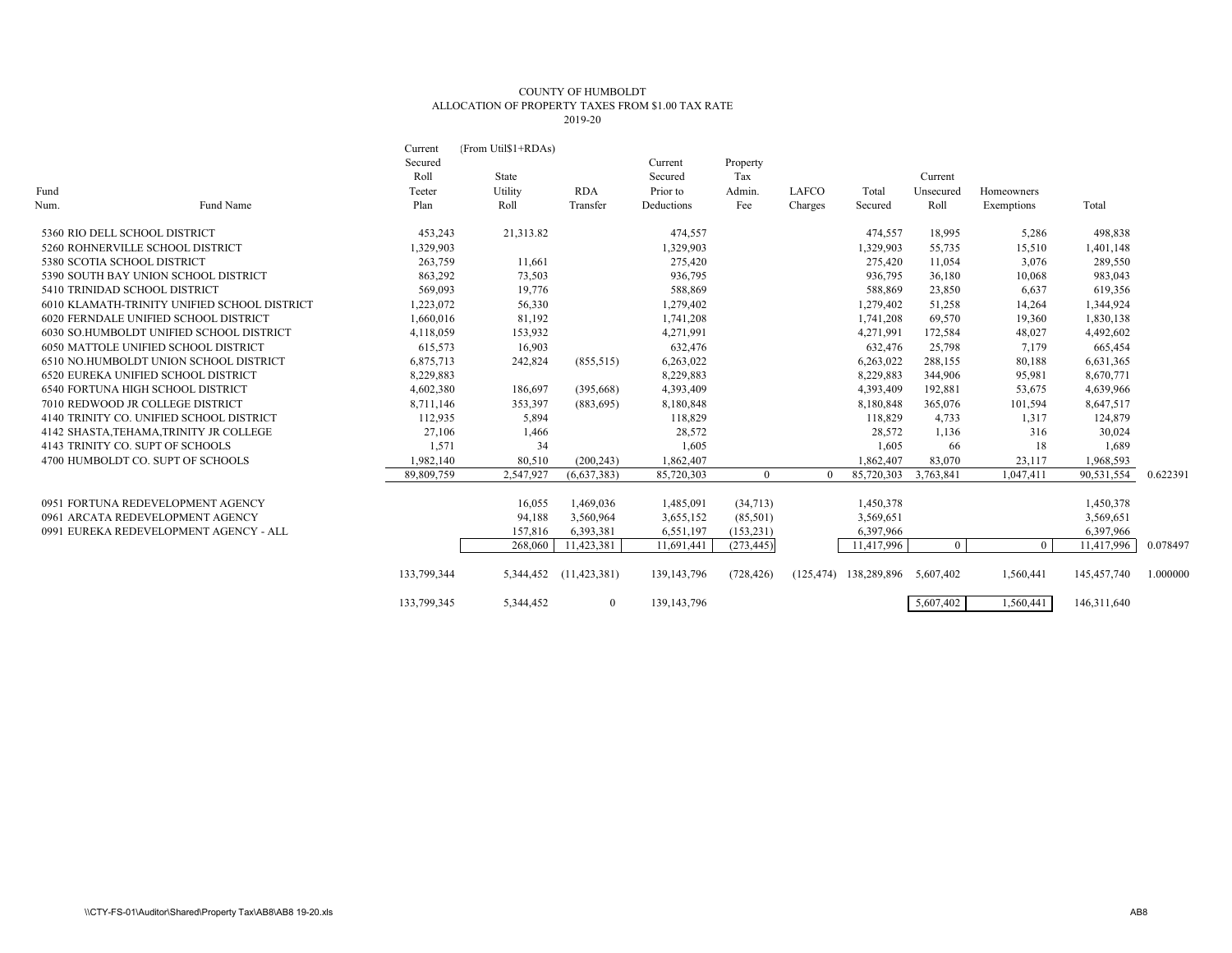## COUNTY OF HUMBOLDT ALLOCATION OF PROPERTY TAXES FROM \$1.00 TAX RATE 2019-20

|                             |                                              | Current     | (From Util\$1+RDAs) |                        |               |            |            |                       |           |            |             |          |
|-----------------------------|----------------------------------------------|-------------|---------------------|------------------------|---------------|------------|------------|-----------------------|-----------|------------|-------------|----------|
|                             |                                              | Secured     |                     |                        | Current       | Property   |            |                       |           |            |             |          |
|                             |                                              | Roll        | State               |                        | Secured       | Tax        |            |                       | Current   |            |             |          |
| Fund                        |                                              | Teeter      | Utility             | <b>RDA</b>             | Prior to      | Admin.     | LAFCO      | Total                 | Unsecured | Homeowners |             |          |
| Num.                        | Fund Name                                    | Plan        | Roll                | Transfer               | Deductions    | Fee        | Charges    | Secured               | Roll      | Exemptions | Total       |          |
|                             | 5360 RIO DELL SCHOOL DISTRICT                | 453,243     | 21,313.82           |                        | 474,557       |            |            | 474,557               | 18,995    | 5,286      | 498,838     |          |
|                             | 5260 ROHNERVILLE SCHOOL DISTRICT             | 1,329,903   |                     |                        | 1,329,903     |            |            | 1,329,903             | 55,735    | 15,510     | 1,401,148   |          |
| 5380 SCOTIA SCHOOL DISTRICT |                                              | 263,759     | 11,661              |                        | 275,420       |            |            | 275,420               | 11,054    | 3,076      | 289,550     |          |
|                             | 5390 SOUTH BAY UNION SCHOOL DISTRICT         | 863,292     | 73,503              |                        | 936,795       |            |            | 936,795               | 36,180    | 10,068     | 983,043     |          |
|                             | 5410 TRINIDAD SCHOOL DISTRICT                | 569,093     | 19,776              |                        | 588,869       |            |            | 588,869               | 23,850    | 6,637      | 619,356     |          |
|                             | 6010 KLAMATH-TRINITY UNIFIED SCHOOL DISTRICT | 1,223,072   | 56,330              |                        | 1,279,402     |            |            | 1,279,402             | 51,258    | 14,264     | 1,344,924   |          |
|                             | 6020 FERNDALE UNIFIED SCHOOL DISTRICT        | 1,660,016   | 81,192              |                        | 1,741,208     |            |            | 1,741,208             | 69,570    | 19,360     | 1,830,138   |          |
|                             | 6030 SO.HUMBOLDT UNIFIED SCHOOL DISTRICT     | 4,118,059   | 153,932             |                        | 4,271,991     |            |            | 4,271,991             | 172,584   | 48,027     | 4,492,602   |          |
|                             | 6050 MATTOLE UNIFIED SCHOOL DISTRICT         | 615,573     | 16,903              |                        | 632,476       |            |            | 632,476               | 25,798    | 7,179      | 665,454     |          |
|                             | 6510 NO.HUMBOLDT UNION SCHOOL DISTRICT       | 6,875,713   | 242,824             | (855, 515)             | 6,263,022     |            |            | 6,263,022             | 288,155   | 80,188     | 6,631,365   |          |
|                             | <b>6520 EUREKA UNIFIED SCHOOL DISTRICT</b>   | 8,229,883   |                     |                        | 8,229,883     |            |            | 8,229,883             | 344,906   | 95,981     | 8,670,771   |          |
|                             | <b>6540 FORTUNA HIGH SCHOOL DISTRICT</b>     | 4,602,380   | 186,697             | (395,668)              | 4,393,409     |            |            | 4,393,409             | 192,881   | 53,675     | 4,639,966   |          |
|                             | 7010 REDWOOD JR COLLEGE DISTRICT             | 8,711,146   | 353,397             | (883, 695)             | 8,180,848     |            |            | 8,180,848             | 365,076   | 101,594    | 8,647,517   |          |
|                             | 4140 TRINITY CO. UNIFIED SCHOOL DISTRICT     | 112,935     | 5,894               |                        | 118,829       |            |            | 118,829               | 4,733     | 1,317      | 124,879     |          |
|                             | 4142 SHASTA, TEHAMA, TRINITY JR COLLEGE      | 27,106      | 1,466               |                        | 28,572        |            |            | 28,572                | 1,136     | 316        | 30,024      |          |
|                             | 4143 TRINITY CO. SUPT OF SCHOOLS             | 1,571       | 34                  |                        | 1,605         |            |            | 1,605                 | 66        | 18         | 1,689       |          |
|                             | 4700 HUMBOLDT CO. SUPT OF SCHOOLS            | 1,982,140   | 80,510              | (200, 243)             | 1,862,407     |            |            | 1,862,407             | 83,070    | 23,117     | 1,968,593   |          |
|                             |                                              | 89,809,759  | 2,547,927           | (6,637,383)            | 85,720,303    | $\Omega$   | $\Omega$   | 85,720,303            | 3,763,841 | 1,047,411  | 90,531,554  | 0.622391 |
|                             | 0951 FORTUNA REDEVELOPMENT AGENCY            |             | 16,055              | 1,469,036              | 1,485,091     | (34,713)   |            | 1,450,378             |           |            | 1,450,378   |          |
|                             | 0961 ARCATA REDEVELOPMENT AGENCY             |             | 94,188              | 3,560,964              | 3,655,152     | (85,501)   |            | 3,569,651             |           |            | 3,569,651   |          |
|                             | 0991 EUREKA REDEVELOPMENT AGENCY - ALL       |             | 157,816             | 6,393,381              | 6,551,197     | (153, 231) |            | 6,397,966             |           |            | 6,397,966   |          |
|                             |                                              |             | 268,060             | 11,423,381             | 11,691,441    | (273, 445) |            | 11,417,996            | $\Omega$  | $\Omega$   | 11,417,996  | 0.078497 |
|                             |                                              | 133,799,344 |                     | 5,344,452 (11,423,381) | 139, 143, 796 | (728, 426) | (125, 474) | 138,289,896 5,607,402 |           | 1,560,441  | 145,457,740 | 1.000000 |
|                             |                                              | 133,799,345 | 5,344,452           | $\bf{0}$               | 139, 143, 796 |            |            |                       | 5,607,402 | 1,560,441  | 146,311,640 |          |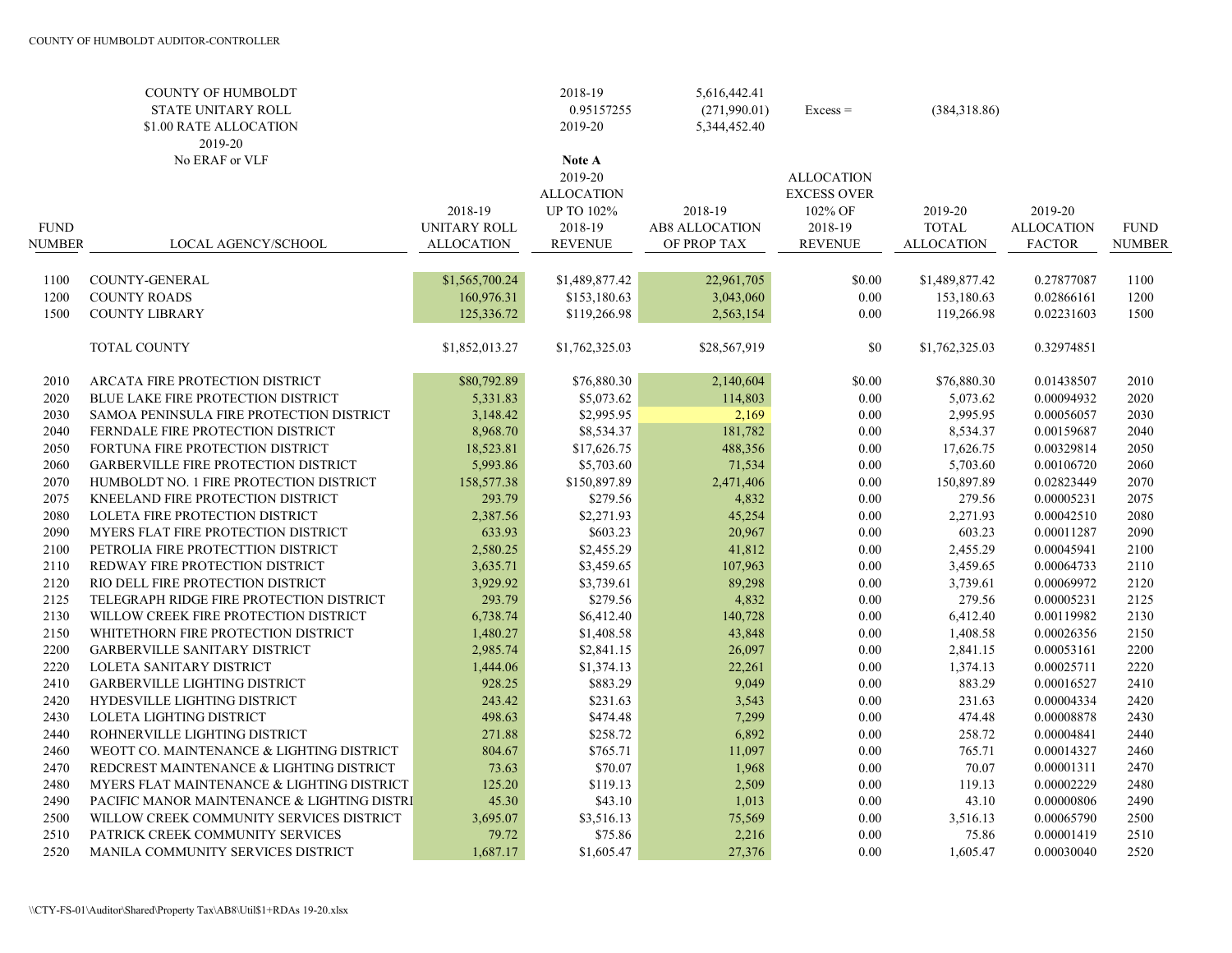|               | <b>COUNTY OF HUMBOLDT</b><br>STATE UNITARY ROLL<br>\$1.00 RATE ALLOCATION<br>2019-20 |                         | 2018-19<br>0.95157255<br>2019-20                                       | 5,616,442.41<br>(271,990.01)<br>5,344,452.40 | $Excess =$                                                    | (384,318.86)            |                              |               |
|---------------|--------------------------------------------------------------------------------------|-------------------------|------------------------------------------------------------------------|----------------------------------------------|---------------------------------------------------------------|-------------------------|------------------------------|---------------|
| <b>FUND</b>   | No ERAF or VLF                                                                       | 2018-19<br>UNITARY ROLL | Note A<br>2019-20<br><b>ALLOCATION</b><br><b>UP TO 102%</b><br>2018-19 | 2018-19<br><b>AB8 ALLOCATION</b>             | <b>ALLOCATION</b><br><b>EXCESS OVER</b><br>102% OF<br>2018-19 | 2019-20<br><b>TOTAL</b> | 2019-20<br><b>ALLOCATION</b> | <b>FUND</b>   |
| <b>NUMBER</b> | LOCAL AGENCY/SCHOOL                                                                  | <b>ALLOCATION</b>       | <b>REVENUE</b>                                                         | OF PROP TAX                                  | <b>REVENUE</b>                                                | <b>ALLOCATION</b>       | <b>FACTOR</b>                | <b>NUMBER</b> |
| 1100          | <b>COUNTY-GENERAL</b>                                                                | \$1,565,700.24          | \$1,489,877.42                                                         | 22,961,705                                   | \$0.00                                                        | \$1,489,877.42          | 0.27877087                   | 1100          |
| 1200          | <b>COUNTY ROADS</b>                                                                  | 160,976.31              | \$153,180.63                                                           | 3,043,060                                    | 0.00                                                          | 153,180.63              | 0.02866161                   | 1200          |
| 1500          | <b>COUNTY LIBRARY</b>                                                                | 125,336.72              | \$119,266.98                                                           | 2,563,154                                    | 0.00                                                          | 119,266.98              | 0.02231603                   | 1500          |
|               | <b>TOTAL COUNTY</b>                                                                  | \$1,852,013.27          | \$1,762,325.03                                                         | \$28,567,919                                 | \$0                                                           | \$1,762,325.03          | 0.32974851                   |               |
| 2010          | ARCATA FIRE PROTECTION DISTRICT                                                      | \$80,792.89             | \$76,880.30                                                            | 2,140,604                                    | \$0.00                                                        | \$76,880.30             | 0.01438507                   | 2010          |
| 2020          | BLUE LAKE FIRE PROTECTION DISTRICT                                                   | 5,331.83                | \$5,073.62                                                             | 114,803                                      | 0.00                                                          | 5,073.62                | 0.00094932                   | 2020          |
| 2030          | SAMOA PENINSULA FIRE PROTECTION DISTRICT                                             | 3,148.42                | \$2,995.95                                                             | 2,169                                        | $0.00\,$                                                      | 2,995.95                | 0.00056057                   | 2030          |
| 2040          | FERNDALE FIRE PROTECTION DISTRICT                                                    | 8,968.70                | \$8,534.37                                                             | 181,782                                      | $0.00\,$                                                      | 8,534.37                | 0.00159687                   | 2040          |
| 2050          | FORTUNA FIRE PROTECTION DISTRICT                                                     | 18,523.81               | \$17,626.75                                                            | 488,356                                      | 0.00                                                          | 17,626.75               | 0.00329814                   | 2050          |
| 2060          | <b>GARBERVILLE FIRE PROTECTION DISTRICT</b>                                          | 5,993.86                | \$5,703.60                                                             | 71,534                                       | $0.00\,$                                                      | 5,703.60                | 0.00106720                   | 2060          |
| 2070          | HUMBOLDT NO. 1 FIRE PROTECTION DISTRICT                                              | 158,577.38              | \$150,897.89                                                           | 2,471,406                                    | 0.00                                                          | 150,897.89              | 0.02823449                   | 2070          |
| 2075          | KNEELAND FIRE PROTECTION DISTRICT                                                    | 293.79                  | \$279.56                                                               | 4,832                                        | $0.00\,$                                                      | 279.56                  | 0.00005231                   | 2075          |
| 2080          | LOLETA FIRE PROTECTION DISTRICT                                                      | 2,387.56                | \$2,271.93                                                             | 45,254                                       | 0.00                                                          | 2,271.93                | 0.00042510                   | 2080          |
| 2090          | MYERS FLAT FIRE PROTECTION DISTRICT                                                  | 633.93                  | \$603.23                                                               | 20,967                                       | 0.00                                                          | 603.23                  | 0.00011287                   | 2090          |
| 2100          | PETROLIA FIRE PROTECTTION DISTRICT                                                   | 2,580.25                | \$2,455.29                                                             | 41,812                                       | $0.00\,$                                                      | 2,455.29                | 0.00045941                   | 2100          |
| 2110          | REDWAY FIRE PROTECTION DISTRICT                                                      | 3,635.71                | \$3,459.65                                                             | 107,963                                      | 0.00                                                          | 3,459.65                | 0.00064733                   | 2110          |
| 2120          | RIO DELL FIRE PROTECTION DISTRICT                                                    | 3,929.92                | \$3,739.61                                                             | 89,298                                       | 0.00                                                          | 3,739.61                | 0.00069972                   | 2120          |
| 2125          | TELEGRAPH RIDGE FIRE PROTECTION DISTRICT                                             | 293.79                  | \$279.56                                                               | 4,832                                        | 0.00                                                          | 279.56                  | 0.00005231                   | 2125          |
| 2130          | WILLOW CREEK FIRE PROTECTION DISTRICT                                                | 6,738.74                | \$6,412.40                                                             | 140,728                                      | $0.00\,$                                                      | 6,412.40                | 0.00119982                   | 2130          |
| 2150          | WHITETHORN FIRE PROTECTION DISTRICT                                                  | 1,480.27                | \$1,408.58                                                             | 43,848                                       | $0.00\,$                                                      | 1,408.58                | 0.00026356                   | 2150          |
| 2200          | GARBERVILLE SANITARY DISTRICT                                                        | 2,985.74                | \$2,841.15                                                             | 26,097                                       | $0.00\,$                                                      | 2,841.15                | 0.00053161                   | 2200          |
| 2220          | LOLETA SANITARY DISTRICT                                                             | 1,444.06                | \$1,374.13                                                             | 22,261                                       | 0.00                                                          | 1,374.13                | 0.00025711                   | 2220          |
| 2410          | <b>GARBERVILLE LIGHTING DISTRICT</b>                                                 | 928.25                  | \$883.29                                                               | 9,049                                        | $0.00\,$                                                      | 883.29                  | 0.00016527                   | 2410          |
| 2420          | HYDESVILLE LIGHTING DISTRICT                                                         | 243.42                  | \$231.63                                                               | 3,543                                        | 0.00                                                          | 231.63                  | 0.00004334                   | 2420          |
| 2430          | LOLETA LIGHTING DISTRICT                                                             | 498.63                  | \$474.48                                                               | 7,299                                        | $0.00\,$                                                      | 474.48                  | 0.00008878                   | 2430          |
| 2440          | ROHNERVILLE LIGHTING DISTRICT                                                        | 271.88                  | \$258.72                                                               | 6,892                                        | $0.00\,$                                                      | 258.72                  | 0.00004841                   | 2440          |
| 2460          | WEOTT CO. MAINTENANCE & LIGHTING DISTRICT                                            | 804.67                  | \$765.71                                                               | 11,097                                       | $0.00\,$                                                      | 765.71                  | 0.00014327                   | 2460          |
| 2470          | REDCREST MAINTENANCE & LIGHTING DISTRICT                                             | 73.63                   | \$70.07                                                                | 1,968                                        | $0.00\,$                                                      | 70.07                   | 0.00001311                   | 2470          |
| 2480          | MYERS FLAT MAINTENANCE & LIGHTING DISTRICT                                           | 125.20                  | \$119.13                                                               | 2,509                                        | $0.00\,$                                                      | 119.13                  | 0.00002229                   | 2480          |
| 2490          | PACIFIC MANOR MAINTENANCE & LIGHTING DISTRI                                          | 45.30                   | \$43.10                                                                | 1,013                                        | $0.00\,$                                                      | 43.10                   | 0.00000806                   | 2490          |
| 2500          | WILLOW CREEK COMMUNITY SERVICES DISTRICT                                             | 3,695.07                | \$3,516.13                                                             | 75,569                                       | 0.00                                                          | 3,516.13                | 0.00065790                   | 2500          |
| 2510          | PATRICK CREEK COMMUNITY SERVICES                                                     | 79.72                   | \$75.86                                                                | 2,216                                        | $0.00\,$                                                      | 75.86                   | 0.00001419                   | 2510          |
| 2520          | MANILA COMMUNITY SERVICES DISTRICT                                                   | 1,687.17                | \$1,605.47                                                             | 27,376                                       | 0.00                                                          | 1,605.47                | 0.00030040                   | 2520          |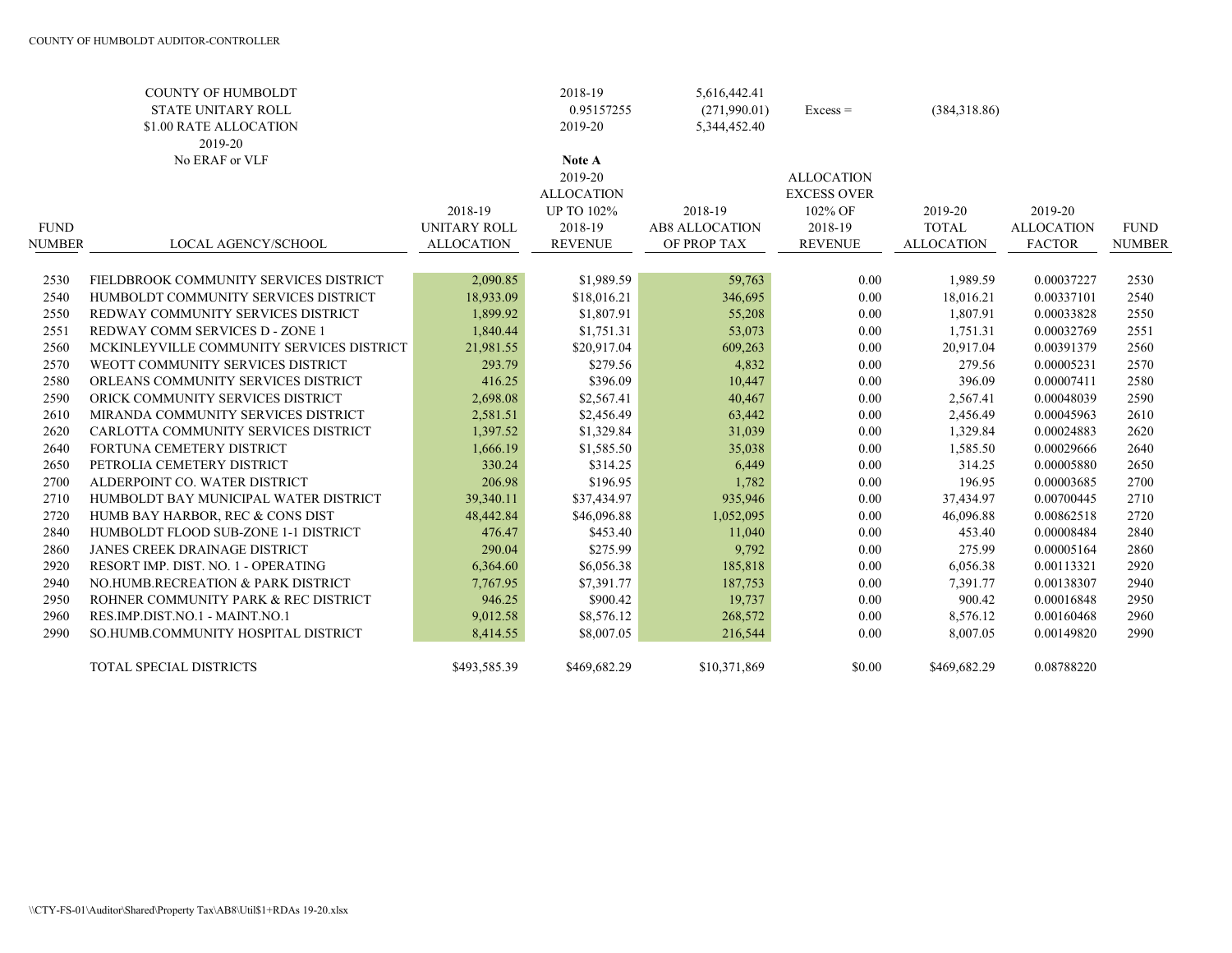|               | <b>COUNTY OF HUMBOLDT</b>                 |                     | 2018-19           | 5,616,442.41          |                    |                   |                   |               |
|---------------|-------------------------------------------|---------------------|-------------------|-----------------------|--------------------|-------------------|-------------------|---------------|
|               | <b>STATE UNITARY ROLL</b>                 |                     | 0.95157255        | (271,990.01)          | $Excess =$         | (384,318.86)      |                   |               |
|               | \$1.00 RATE ALLOCATION                    |                     | 2019-20           | 5,344,452.40          |                    |                   |                   |               |
|               | 2019-20                                   |                     |                   |                       |                    |                   |                   |               |
|               | No ERAF or VLF                            |                     | <b>Note A</b>     |                       |                    |                   |                   |               |
|               |                                           |                     | 2019-20           |                       | <b>ALLOCATION</b>  |                   |                   |               |
|               |                                           |                     | <b>ALLOCATION</b> |                       | <b>EXCESS OVER</b> |                   |                   |               |
|               |                                           | 2018-19             | <b>UP TO 102%</b> | 2018-19               | 102% OF            | 2019-20           | 2019-20           |               |
| <b>FUND</b>   |                                           | <b>UNITARY ROLL</b> | 2018-19           | <b>AB8 ALLOCATION</b> | 2018-19            | <b>TOTAL</b>      | <b>ALLOCATION</b> | <b>FUND</b>   |
| <b>NUMBER</b> | LOCAL AGENCY/SCHOOL                       | <b>ALLOCATION</b>   | <b>REVENUE</b>    | OF PROP TAX           | <b>REVENUE</b>     | <b>ALLOCATION</b> | <b>FACTOR</b>     | <b>NUMBER</b> |
|               |                                           |                     |                   |                       |                    |                   |                   |               |
| 2530          | FIELDBROOK COMMUNITY SERVICES DISTRICT    | 2,090.85            | \$1,989.59        | 59,763                | 0.00               | 1,989.59          | 0.00037227        | 2530          |
| 2540          | HUMBOLDT COMMUNITY SERVICES DISTRICT      | 18,933.09           | \$18,016.21       | 346,695               | 0.00               | 18,016.21         | 0.00337101        | 2540          |
| 2550          | REDWAY COMMUNITY SERVICES DISTRICT        | 1,899.92            | \$1,807.91        | 55,208                | 0.00               | 1,807.91          | 0.00033828        | 2550          |
| 2551          | REDWAY COMM SERVICES D - ZONE 1           | 1,840.44            | \$1,751.31        | 53,073                | 0.00               | 1,751.31          | 0.00032769        | 2551          |
| 2560          | MCKINLEYVILLE COMMUNITY SERVICES DISTRICT | 21,981.55           | \$20,917.04       | 609,263               | 0.00               | 20,917.04         | 0.00391379        | 2560          |
| 2570          | WEOTT COMMUNITY SERVICES DISTRICT         | 293.79              | \$279.56          | 4,832                 | 0.00               | 279.56            | 0.00005231        | 2570          |
| 2580          | ORLEANS COMMUNITY SERVICES DISTRICT       | 416.25              | \$396.09          | 10,447                | 0.00               | 396.09            | 0.00007411        | 2580          |
| 2590          | ORICK COMMUNITY SERVICES DISTRICT         | 2,698.08            | \$2,567.41        | 40,467                | 0.00               | 2,567.41          | 0.00048039        | 2590          |
| 2610          | MIRANDA COMMUNITY SERVICES DISTRICT       | 2,581.51            | \$2,456.49        | 63,442                | 0.00               | 2,456.49          | 0.00045963        | 2610          |
| 2620          | CARLOTTA COMMUNITY SERVICES DISTRICT      | 1,397.52            | \$1,329.84        | 31,039                | 0.00               | 1,329.84          | 0.00024883        | 2620          |
| 2640          | FORTUNA CEMETERY DISTRICT                 | 1,666.19            | \$1,585.50        | 35,038                | 0.00               | 1,585.50          | 0.00029666        | 2640          |
| 2650          | PETROLIA CEMETERY DISTRICT                | 330.24              | \$314.25          | 6,449                 | 0.00               | 314.25            | 0.00005880        | 2650          |
| 2700          | ALDERPOINT CO. WATER DISTRICT             | 206.98              | \$196.95          | 1,782                 | 0.00               | 196.95            | 0.00003685        | 2700          |
| 2710          | HUMBOLDT BAY MUNICIPAL WATER DISTRICT     | 39,340.11           | \$37,434.97       | 935,946               | 0.00               | 37,434.97         | 0.00700445        | 2710          |
| 2720          | HUMB BAY HARBOR, REC & CONS DIST          | 48,442.84           | \$46,096.88       | 1,052,095             | 0.00               | 46,096.88         | 0.00862518        | 2720          |
| 2840          | HUMBOLDT FLOOD SUB-ZONE 1-1 DISTRICT      | 476.47              | \$453.40          | 11,040                | 0.00               | 453.40            | 0.00008484        | 2840          |
| 2860          | <b>JANES CREEK DRAINAGE DISTRICT</b>      | 290.04              | \$275.99          | 9,792                 | 0.00               | 275.99            | 0.00005164        | 2860          |
| 2920          | RESORT IMP. DIST. NO. 1 - OPERATING       | 6,364.60            | \$6,056.38        | 185,818               | 0.00               | 6,056.38          | 0.00113321        | 2920          |
| 2940          | NO.HUMB.RECREATION & PARK DISTRICT        | 7,767.95            | \$7,391.77        | 187,753               | 0.00               | 7,391.77          | 0.00138307        | 2940          |
| 2950          | ROHNER COMMUNITY PARK & REC DISTRICT      | 946.25              | \$900.42          | 19,737                | 0.00               | 900.42            | 0.00016848        | 2950          |
| 2960          | RES.IMP.DIST.NO.1 - MAINT.NO.1            | 9,012.58            | \$8,576.12        | 268,572               | 0.00               | 8,576.12          | 0.00160468        | 2960          |
| 2990          | SO.HUMB.COMMUNITY HOSPITAL DISTRICT       | 8,414.55            | \$8,007.05        | 216,544               | 0.00               | 8,007.05          | 0.00149820        | 2990          |
|               | TOTAL SPECIAL DISTRICTS                   | \$493,585.39        | \$469,682.29      | \$10,371,869          | \$0.00             | \$469,682.29      | 0.08788220        |               |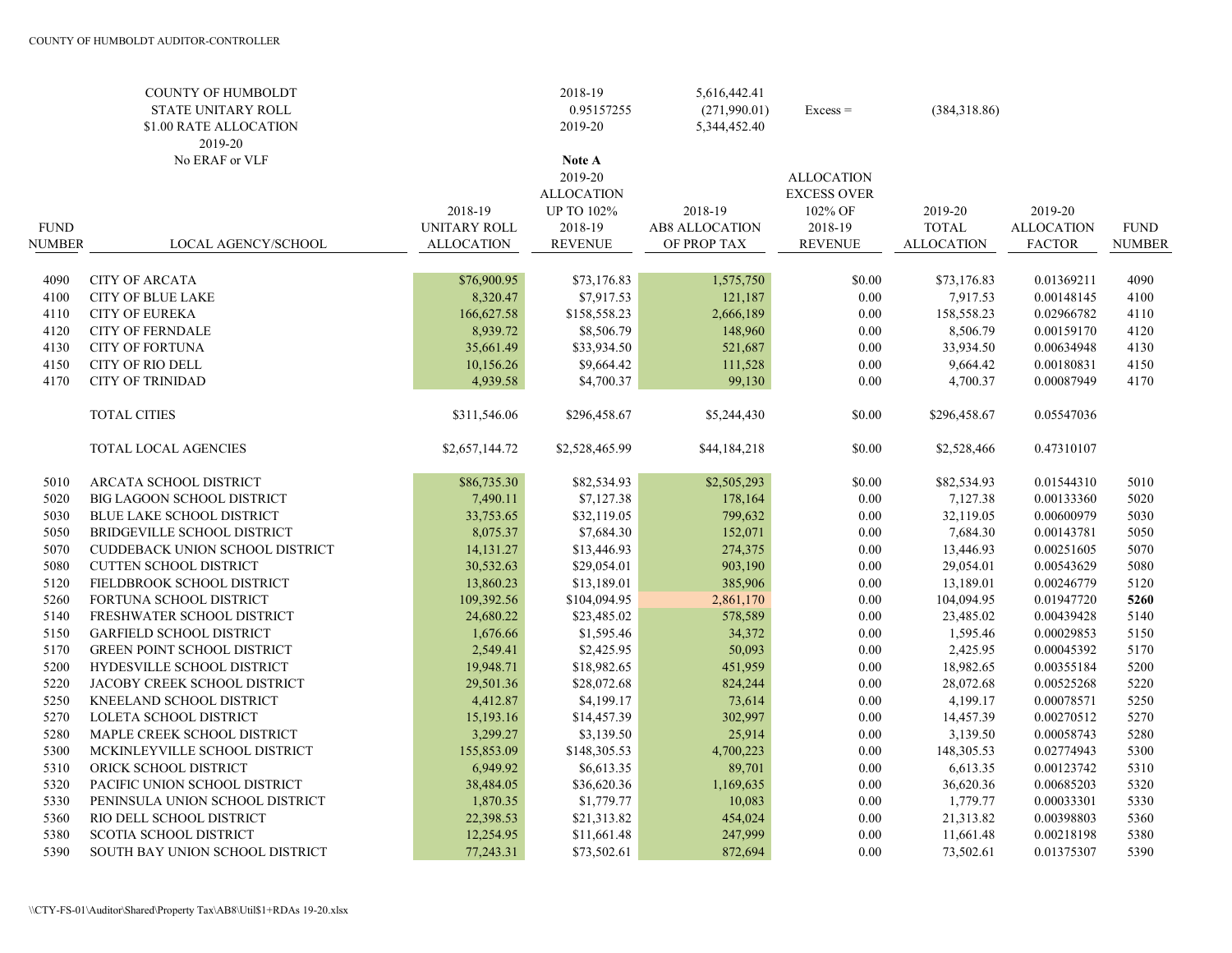|               | <b>COUNTY OF HUMBOLDT</b><br>STATE UNITARY ROLL<br>\$1.00 RATE ALLOCATION<br>2019-20 |                   | 2018-19<br>0.95157255<br>2019-20       | 5,616,442.41<br>(271,990.01)<br>5,344,452.40 | $Excess =$                              | (384,318.86)      |                   |               |
|---------------|--------------------------------------------------------------------------------------|-------------------|----------------------------------------|----------------------------------------------|-----------------------------------------|-------------------|-------------------|---------------|
|               | No ERAF or VLF                                                                       |                   | Note A<br>2019-20<br><b>ALLOCATION</b> |                                              | <b>ALLOCATION</b><br><b>EXCESS OVER</b> |                   |                   |               |
|               |                                                                                      | 2018-19           | <b>UP TO 102%</b>                      | 2018-19                                      | 102% OF                                 | 2019-20           | 2019-20           |               |
| <b>FUND</b>   |                                                                                      | UNITARY ROLL      | 2018-19<br><b>REVENUE</b>              | AB8 ALLOCATION                               | 2018-19                                 | <b>TOTAL</b>      | <b>ALLOCATION</b> | <b>FUND</b>   |
| <b>NUMBER</b> | LOCAL AGENCY/SCHOOL                                                                  | <b>ALLOCATION</b> |                                        | OF PROP TAX                                  | <b>REVENUE</b>                          | <b>ALLOCATION</b> | <b>FACTOR</b>     | <b>NUMBER</b> |
| 4090          | <b>CITY OF ARCATA</b>                                                                | \$76,900.95       | \$73,176.83                            | 1,575,750                                    | \$0.00                                  | \$73,176.83       | 0.01369211        | 4090          |
| 4100          | <b>CITY OF BLUE LAKE</b>                                                             | 8,320.47          | \$7,917.53                             | 121,187                                      | 0.00                                    | 7,917.53          | 0.00148145        | 4100          |
| 4110          | <b>CITY OF EUREKA</b>                                                                | 166,627.58        | \$158,558.23                           | 2,666,189                                    | $0.00\,$                                | 158,558.23        | 0.02966782        | 4110          |
|               |                                                                                      | 8,939.72          | \$8,506.79                             |                                              | $0.00\,$                                |                   |                   |               |
| 4120          | <b>CITY OF FERNDALE</b>                                                              |                   |                                        | 148,960                                      |                                         | 8,506.79          | 0.00159170        | 4120          |
| 4130          | CITY OF FORTUNA                                                                      | 35,661.49         | \$33,934.50                            | 521,687                                      | $0.00\,$                                | 33,934.50         | 0.00634948        | 4130          |
| 4150          | <b>CITY OF RIO DELL</b>                                                              | 10,156.26         | \$9,664.42                             | 111,528                                      | $0.00\,$                                | 9,664.42          | 0.00180831        | 4150          |
| 4170          | <b>CITY OF TRINIDAD</b>                                                              | 4,939.58          | \$4,700.37                             | 99,130                                       | 0.00                                    | 4,700.37          | 0.00087949        | 4170          |
|               | <b>TOTAL CITIES</b>                                                                  | \$311,546.06      | \$296,458.67                           | \$5,244,430                                  | \$0.00                                  | \$296,458.67      | 0.05547036        |               |
|               | TOTAL LOCAL AGENCIES                                                                 | \$2,657,144.72    | \$2,528,465.99                         | \$44,184,218                                 | \$0.00                                  | \$2,528,466       | 0.47310107        |               |
| 5010          | ARCATA SCHOOL DISTRICT                                                               | \$86,735.30       | \$82,534.93                            | \$2,505,293                                  | \$0.00                                  | \$82,534.93       | 0.01544310        | 5010          |
| 5020          | BIG LAGOON SCHOOL DISTRICT                                                           | 7,490.11          | \$7,127.38                             | 178,164                                      | $0.00\,$                                | 7,127.38          | 0.00133360        | 5020          |
| 5030          | BLUE LAKE SCHOOL DISTRICT                                                            | 33,753.65         | \$32,119.05                            | 799,632                                      | 0.00                                    | 32,119.05         | 0.00600979        | 5030          |
| 5050          | <b>BRIDGEVILLE SCHOOL DISTRICT</b>                                                   | 8,075.37          | \$7,684.30                             | 152,071                                      | 0.00                                    | 7,684.30          | 0.00143781        | 5050          |
| 5070          | CUDDEBACK UNION SCHOOL DISTRICT                                                      | 14,131.27         | \$13,446.93                            | 274,375                                      | $0.00\,$                                | 13,446.93         | 0.00251605        | 5070          |
| 5080          | <b>CUTTEN SCHOOL DISTRICT</b>                                                        | 30,532.63         | \$29,054.01                            | 903,190                                      | $0.00\,$                                | 29,054.01         | 0.00543629        | 5080          |
| 5120          | FIELDBROOK SCHOOL DISTRICT                                                           | 13,860.23         | \$13,189.01                            | 385,906                                      | $0.00\,$                                | 13,189.01         | 0.00246779        | 5120          |
| 5260          | FORTUNA SCHOOL DISTRICT                                                              | 109,392.56        | \$104,094.95                           | 2,861,170                                    | $0.00\,$                                | 104,094.95        | 0.01947720        | 5260          |
| 5140          | FRESHWATER SCHOOL DISTRICT                                                           | 24,680.22         | \$23,485.02                            | 578,589                                      | $0.00\,$                                | 23,485.02         | 0.00439428        | 5140          |
| 5150          | <b>GARFIELD SCHOOL DISTRICT</b>                                                      | 1,676.66          | \$1,595.46                             | 34,372                                       | $0.00\,$                                | 1,595.46          | 0.00029853        | 5150          |
| 5170          | <b>GREEN POINT SCHOOL DISTRICT</b>                                                   | 2,549.41          | \$2,425.95                             | 50,093                                       | $0.00\,$                                | 2,425.95          | 0.00045392        | 5170          |
| 5200          | HYDESVILLE SCHOOL DISTRICT                                                           | 19,948.71         | \$18,982.65                            | 451,959                                      | 0.00                                    | 18,982.65         | 0.00355184        | 5200          |
| 5220          | JACOBY CREEK SCHOOL DISTRICT                                                         | 29,501.36         | \$28,072.68                            | 824,244                                      | $0.00\,$                                | 28,072.68         | 0.00525268        | 5220          |
| 5250          | KNEELAND SCHOOL DISTRICT                                                             | 4,412.87          | \$4,199.17                             | 73,614                                       | 0.00                                    | 4,199.17          | 0.00078571        | 5250          |
| 5270          | LOLETA SCHOOL DISTRICT                                                               | 15,193.16         | \$14,457.39                            | 302,997                                      | $0.00\,$                                | 14,457.39         | 0.00270512        | 5270          |
| 5280          | MAPLE CREEK SCHOOL DISTRICT                                                          | 3,299.27          | \$3,139.50                             | 25,914                                       | 0.00                                    | 3,139.50          | 0.00058743        | 5280          |
| 5300          | MCKINLEYVILLE SCHOOL DISTRICT                                                        | 155,853.09        | \$148,305.53                           | 4,700,223                                    | $0.00\,$                                | 148,305.53        | 0.02774943        | 5300          |
| 5310          | ORICK SCHOOL DISTRICT                                                                | 6,949.92          | \$6,613.35                             | 89,701                                       | $0.00\,$                                | 6,613.35          | 0.00123742        | 5310          |
| 5320          | PACIFIC UNION SCHOOL DISTRICT                                                        | 38,484.05         | \$36,620.36                            | 1,169,635                                    | 0.00                                    | 36,620.36         | 0.00685203        | 5320          |
| 5330          | PENINSULA UNION SCHOOL DISTRICT                                                      | 1,870.35          | \$1,779.77                             | 10,083                                       | $0.00\,$                                | 1,779.77          | 0.00033301        | 5330          |
| 5360          | RIO DELL SCHOOL DISTRICT                                                             |                   |                                        |                                              |                                         |                   |                   |               |
|               |                                                                                      | 22,398.53         | \$21,313.82                            | 454,024                                      | 0.00                                    | 21,313.82         | 0.00398803        | 5360          |
| 5380          | SCOTIA SCHOOL DISTRICT                                                               | 12,254.95         | \$11,661.48                            | 247,999                                      | 0.00                                    | 11,661.48         | 0.00218198        | 5380          |
| 5390          | SOUTH BAY UNION SCHOOL DISTRICT                                                      | 77,243.31         | \$73,502.61                            | 872,694                                      | 0.00                                    | 73,502.61         | 0.01375307        | 5390          |